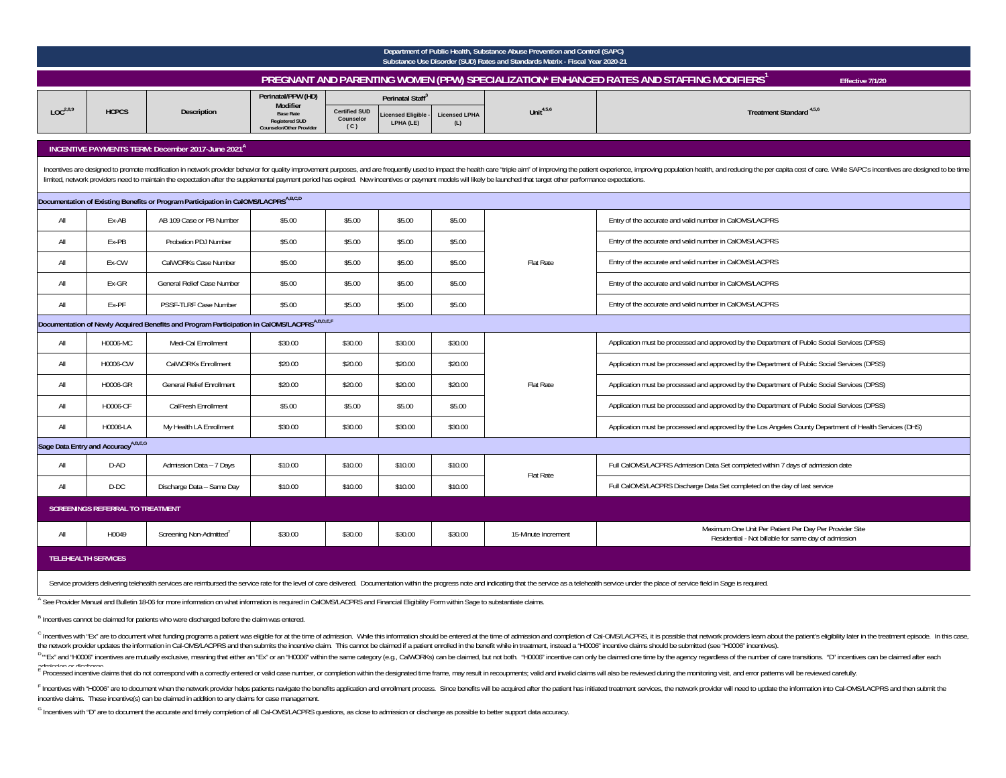|                                                                                     | Department of Public Health, Substance Abuse Prevention and Control (SAPC)<br>Substance Use Disorder (SUD) Rates and Standards Matrix - Fiscal Year 2020-21                                                                                                                                                                                                                                                                                           |                                                                                                          |                                                                              |                                          |                               |                             |                     |                                                                                                                           |  |  |  |  |
|-------------------------------------------------------------------------------------|-------------------------------------------------------------------------------------------------------------------------------------------------------------------------------------------------------------------------------------------------------------------------------------------------------------------------------------------------------------------------------------------------------------------------------------------------------|----------------------------------------------------------------------------------------------------------|------------------------------------------------------------------------------|------------------------------------------|-------------------------------|-----------------------------|---------------------|---------------------------------------------------------------------------------------------------------------------------|--|--|--|--|
|                                                                                     |                                                                                                                                                                                                                                                                                                                                                                                                                                                       |                                                                                                          |                                                                              |                                          |                               |                             |                     | PREGNANT AND PARENTING WOMEN (PPW) SPECIALIZATION* ENHANCED RATES AND STAFFING MODIFIERS <sup>1</sup><br>Effective 7/1/20 |  |  |  |  |
|                                                                                     |                                                                                                                                                                                                                                                                                                                                                                                                                                                       |                                                                                                          | Perinatal/PPW (HD)<br><b>Modifier</b>                                        |                                          | Perinatal Staff <sup>3</sup>  |                             |                     |                                                                                                                           |  |  |  |  |
| $LOC^{2,8,9}$                                                                       | <b>HCPCS</b>                                                                                                                                                                                                                                                                                                                                                                                                                                          | <b>Description</b>                                                                                       | <b>Base Rate</b><br><b>Registered SUD</b><br><b>Counselor/Other Provider</b> | <b>Certified SUD</b><br>Counselor<br>(C) | icensed Eligible<br>LPHA (LE) | <b>Licensed LPHA</b><br>(L) | Unit $4,5,6$        | Treatment Standard <sup>4,5,6</sup>                                                                                       |  |  |  |  |
|                                                                                     |                                                                                                                                                                                                                                                                                                                                                                                                                                                       | INCENTIVE PAYMENTS TERM: December 2017-June 2021 <sup>A</sup>                                            |                                                                              |                                          |                               |                             |                     |                                                                                                                           |  |  |  |  |
|                                                                                     | Incentives are designed to promote modification in network provider behavior for quality improvement purposes, and are frequently used to impact the health care "triple aim" of improving the patient experience, improving p<br>limited, network providers need to maintain the expectation after the supplemental payment period has expired. New incentives or payment models will likely be launched that target other performance expectations. |                                                                                                          |                                                                              |                                          |                               |                             |                     |                                                                                                                           |  |  |  |  |
| Documentation of Existing Benefits or Program Participation in CalOMS/LACPRSA,B,C,D |                                                                                                                                                                                                                                                                                                                                                                                                                                                       |                                                                                                          |                                                                              |                                          |                               |                             |                     |                                                                                                                           |  |  |  |  |
| All                                                                                 | Ex-AB                                                                                                                                                                                                                                                                                                                                                                                                                                                 | AB 109 Case or PB Number                                                                                 | \$5.00                                                                       | \$5.00                                   | \$5.00                        | \$5.00                      |                     | Entry of the accurate and valid number in CalOMS/LACPRS                                                                   |  |  |  |  |
| All                                                                                 | Ex-PB                                                                                                                                                                                                                                                                                                                                                                                                                                                 | Probation PDJ Number                                                                                     | \$5.00                                                                       | \$5.00                                   | \$5.00                        | \$5.00                      |                     | Entry of the accurate and valid number in CalOMS/LACPRS                                                                   |  |  |  |  |
| All                                                                                 | Ex-CW                                                                                                                                                                                                                                                                                                                                                                                                                                                 | CalWORKs Case Number                                                                                     | \$5.00                                                                       | \$5.00                                   | \$5.00                        | \$5.00                      | Flat Rate           | Entry of the accurate and valid number in CalOMS/LACPRS                                                                   |  |  |  |  |
| All                                                                                 | Ex-GR                                                                                                                                                                                                                                                                                                                                                                                                                                                 | General Relief Case Number                                                                               | \$5.00                                                                       | \$5.00                                   | \$5.00                        | \$5.00                      |                     | Entry of the accurate and valid number in CalOMS/LACPRS                                                                   |  |  |  |  |
| All                                                                                 | Ex-PF                                                                                                                                                                                                                                                                                                                                                                                                                                                 | PSSF-TLRF Case Number                                                                                    | \$5.00                                                                       | \$5.00                                   | \$5.00                        | \$5.00                      |                     | Entry of the accurate and valid number in CalOMS/LACPRS                                                                   |  |  |  |  |
|                                                                                     |                                                                                                                                                                                                                                                                                                                                                                                                                                                       | Documentation of Newly Acquired Benefits and Program Participation in CalOMS/LACPRS <sup>A,B,D,E,F</sup> |                                                                              |                                          |                               |                             |                     |                                                                                                                           |  |  |  |  |
| All                                                                                 | H0006-MC                                                                                                                                                                                                                                                                                                                                                                                                                                              | Medi-Cal Enrollment                                                                                      | \$30.00                                                                      | \$30.00                                  | \$30.00                       | \$30.00                     |                     | Application must be processed and approved by the Department of Public Social Services (DPSS)                             |  |  |  |  |
| All                                                                                 | H0006-CW                                                                                                                                                                                                                                                                                                                                                                                                                                              | CalWORKs Enrollment                                                                                      | \$20.00                                                                      | \$20.00                                  | \$20.00                       | \$20.00                     |                     | Application must be processed and approved by the Department of Public Social Services (DPSS)                             |  |  |  |  |
| All                                                                                 | H0006-GR                                                                                                                                                                                                                                                                                                                                                                                                                                              | <b>General Relief Enrollment</b>                                                                         | \$20.00                                                                      | \$20.00                                  | \$20.00                       | \$20.00                     | <b>Flat Rate</b>    | Application must be processed and approved by the Department of Public Social Services (DPSS)                             |  |  |  |  |
| All                                                                                 | H0006-CF                                                                                                                                                                                                                                                                                                                                                                                                                                              | CalFresh Enrollment                                                                                      | \$5.00                                                                       | \$5.00                                   | \$5.00                        | \$5.00                      |                     | Application must be processed and approved by the Department of Public Social Services (DPSS)                             |  |  |  |  |
| All                                                                                 | H0006-LA                                                                                                                                                                                                                                                                                                                                                                                                                                              | My Health LA Enrollment                                                                                  | \$30.00                                                                      | \$30.00                                  | \$30.00                       | \$30.00                     |                     | Application must be processed and approved by the Los Angeles County Department of Health Services (DHS)                  |  |  |  |  |
|                                                                                     | Sage Data Entry and Accuracy <sup>A,B,E,G</sup>                                                                                                                                                                                                                                                                                                                                                                                                       |                                                                                                          |                                                                              |                                          |                               |                             |                     |                                                                                                                           |  |  |  |  |
| All                                                                                 | D-AD                                                                                                                                                                                                                                                                                                                                                                                                                                                  | Admission Data - 7 Days                                                                                  | \$10.00                                                                      | \$10.00                                  | \$10.00                       | \$10.00                     | Flat Rate           | Full CalOMS/LACPRS Admission Data Set completed within 7 days of admission date                                           |  |  |  |  |
| All                                                                                 | $D-DC$                                                                                                                                                                                                                                                                                                                                                                                                                                                | Discharge Data - Same Day                                                                                | \$10.00                                                                      | \$10.00                                  | \$10.00                       | \$10.00                     |                     | Full CalOMS/LACPRS Discharge Data Set completed on the day of last service                                                |  |  |  |  |
|                                                                                     | <b>SCREENINGS REFERRAL TO TREATMENT</b>                                                                                                                                                                                                                                                                                                                                                                                                               |                                                                                                          |                                                                              |                                          |                               |                             |                     |                                                                                                                           |  |  |  |  |
| All                                                                                 | H0049                                                                                                                                                                                                                                                                                                                                                                                                                                                 | Screening Non-Admitted'                                                                                  | \$30.00                                                                      | \$30.00                                  | \$30.00                       | \$30.00                     | 15-Minute Increment | Maximum One Unit Per Patient Per Day Per Provider Site<br>Residential - Not billable for same day of admission            |  |  |  |  |
|                                                                                     | <b>TELEHEALTH SERVICES</b>                                                                                                                                                                                                                                                                                                                                                                                                                            |                                                                                                          |                                                                              |                                          |                               |                             |                     |                                                                                                                           |  |  |  |  |
|                                                                                     |                                                                                                                                                                                                                                                                                                                                                                                                                                                       |                                                                                                          |                                                                              |                                          |                               |                             |                     |                                                                                                                           |  |  |  |  |

Service providers delivering telehealth services are reimbursed the service rate for the level of care delivered. Documentation within the progress note and indicating that the service as a telehealth service under the pla

A See Provider Manual and Bulletin 18-06 for more information on what information is required in CalOMS/LACPRS and Financial Eligibility Form within Sage to substantiate claims.

B Incentives cannot be claimed for patients who were discharged before the claim was entered.

<sup>C</sup> Incentives with "Ex" are to document what funding programs a patient was eligible for at the time of admission. While this information should be entered at the time of admission and completion of Cal-OMS/LACPRS, it is the network provider updates the information in Cal-OMS/LACPRS and then submits the incentive claim. This cannot be claimed if a patient enrolled in the benefit while in treatment, instead a "H0006" incentive should be sub

<sup>D</sup>"Ex" and "H0006" incentives are mutually exclusive, meaning that either an "Ex" or an "H0006" within the same category (e.g., CalWORKs) can be claimed, but not both. "H0006" incentive can only be claimed one time by the

E processed incentive claims that do not correspond with a correctly entered or valid case number, or completion within the designated time frame, may result in recoupments; valid and invalid claims will also be reviewed d

F Incentives with "H0006" are to document when the network provider helps patients navigate the benefits application and enrollment process. Since benefits application and enrollment process. Since benefits avill be acquir incentive claims. These incentive(s) can be claimed in addition to any claims for case management.

G Incentives with "D" are to document the accurate and timely completion of all Cal-OMS/LACPRS questions, as close to admission or discharge as possible to better support data accuracy.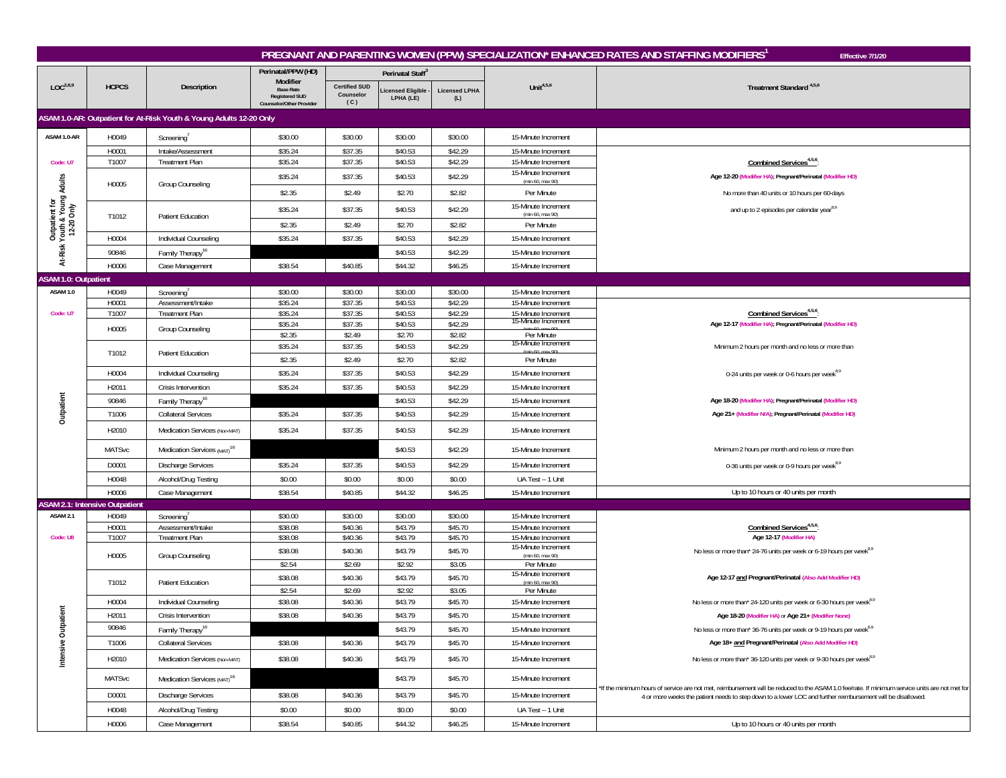|                                                              |                                       |                                                                     |                                                                                   |                                          |                               |                             |                                            | PREGNANT AND PARENTING WOMEN (PPW) SPECIALIZATION* ENHANCED RATES AND STAFFING MODIFIERS'<br>Effective 7/1/20                                  |
|--------------------------------------------------------------|---------------------------------------|---------------------------------------------------------------------|-----------------------------------------------------------------------------------|------------------------------------------|-------------------------------|-----------------------------|--------------------------------------------|------------------------------------------------------------------------------------------------------------------------------------------------|
|                                                              |                                       |                                                                     | Perinatal/PPW (HD)                                                                |                                          | Perinatal Staff <sup>3</sup>  |                             |                                            |                                                                                                                                                |
| LOC <sup>2,8,9</sup>                                         | <b>HCPCS</b>                          | Description                                                         | Modifier<br><b>Base Rate</b><br><b>Registered SUD</b><br>Counselor/Other Provider | <b>Certified SUD</b><br>Counselor<br>(C) | icensed Eligible<br>LPHA (LE) | <b>Licensed LPHA</b><br>(L) | Unit <sup>4,5,6</sup>                      | Treatment Standard <sup>4,5,6</sup>                                                                                                            |
|                                                              |                                       | ASAM 1.0-AR: Outpatient for At-Risk Youth & Young Adults 12-20 Only |                                                                                   |                                          |                               |                             |                                            |                                                                                                                                                |
| ASAM 1.0-AR                                                  | H0049                                 | Screening <sup>®</sup>                                              | \$30.00                                                                           | \$30.00                                  | \$30.00                       | \$30.00                     | 15-Minute Increment                        |                                                                                                                                                |
|                                                              | H0001                                 | Intake/Assessment                                                   | \$35.24                                                                           | \$37.35                                  | \$40.53                       | \$42.29                     | 15-Minute Increment                        |                                                                                                                                                |
| Code: U7                                                     | T1007                                 | Treatment Plan                                                      | \$35.24                                                                           | \$37.35                                  | \$40.53                       | \$42.29                     | 15-Minute Increment                        | Combined Services <sup>4,5,6</sup>                                                                                                             |
|                                                              |                                       |                                                                     | \$35.24                                                                           | \$37.35                                  | \$40.53                       | \$42.29                     | 15-Minute Increment<br>(min 60, max 90)    | Age 12-20 (Modifier HA); Pregnant/Perinatal (Modifier HD)                                                                                      |
|                                                              | H0005                                 | Group Counseling                                                    | \$2.35                                                                            | \$2.49                                   | \$2.70                        | \$2.82                      | Per Minute                                 | No more than 40 units or 10 hours per 60-days                                                                                                  |
|                                                              |                                       |                                                                     | \$35.24                                                                           | \$37.35                                  | \$40.53                       | \$42.29                     | 15-Minute Increment                        | and up to 2 episodes per calendar year <sup>8,9</sup>                                                                                          |
| Outpatient for<br>At-Risk Youth & Young Adults<br>12-20 Only | T1012                                 | Patient Education                                                   | \$2.35                                                                            | \$2.49                                   | \$2.70                        | \$2.82                      | (min 60, max 90)<br>Per Minute             |                                                                                                                                                |
|                                                              | H0004                                 | Individual Counseling                                               | \$35.24                                                                           | \$37.35                                  | \$40.53                       | \$42.29                     | 15-Minute Increment                        |                                                                                                                                                |
|                                                              | 90846                                 |                                                                     |                                                                                   |                                          | \$40.53                       | \$42.29                     | 15-Minute Increment                        |                                                                                                                                                |
|                                                              | H0006                                 | Family Therapy <sup>16</sup><br>Case Management                     | \$38.54                                                                           | \$40.85                                  | \$44.32                       | \$46.25                     | 15-Minute Increment                        |                                                                                                                                                |
| <b>ASAM 1.0: Outpatient</b>                                  |                                       |                                                                     |                                                                                   |                                          |                               |                             |                                            |                                                                                                                                                |
| ASAM 1.0                                                     | H0049                                 | Screening                                                           | \$30.00                                                                           | \$30.00                                  | \$30.00                       | \$30.00                     | 15-Minute Increment                        |                                                                                                                                                |
|                                                              | H0001                                 | Assessment/Intake                                                   | \$35.24                                                                           | \$37.35                                  | \$40.53                       | \$42.29                     | 15-Minute Increment                        |                                                                                                                                                |
| Code: U7                                                     | T1007                                 | <b>Treatment Plan</b>                                               | \$35.24                                                                           | \$37.35                                  | \$40.53                       | \$42.29                     | 15-Minute Increment                        | Combined Services <sup>4,5,6</sup>                                                                                                             |
|                                                              | H0005                                 | Group Counseling                                                    | \$35.24                                                                           | \$37.35                                  | \$40.53                       | \$42.29                     | 15-Minute Increment                        | Age 12-17 (Modifier HA); Pregnant/Perinatal (Modifier HD)                                                                                      |
|                                                              |                                       |                                                                     | \$2.35<br>\$35.24                                                                 | \$2.49<br>\$37.35                        | \$2.70<br>\$40.53             | \$2.82<br>\$42.29           | Per Minute<br>15-Minute Increment          | Minimum 2 hours per month and no less or more than                                                                                             |
|                                                              | T1012                                 | Patient Education                                                   | \$2.35                                                                            | \$2.49                                   | \$2.70                        | \$2.82                      | Per Minute                                 |                                                                                                                                                |
|                                                              | H0004                                 | Individual Counseling                                               | \$35.24                                                                           | \$37.35                                  | \$40.53                       | \$42.29                     | 15-Minute Increment                        | 0-24 units per week or 0-6 hours per week <sup>8,9</sup>                                                                                       |
|                                                              | H2011                                 | Crisis Intervention                                                 | \$35.24                                                                           | \$37.35                                  | \$40.53                       | \$42.29                     | 15-Minute Increment                        |                                                                                                                                                |
|                                                              | 90846                                 | Family Therapy <sup>16</sup>                                        |                                                                                   |                                          | \$40.53                       | \$42.29                     | 15-Minute Increment                        | Age 18-20 (Modifier HA); Pregnant/Perinatal (Modifier HD)                                                                                      |
| Outpatient                                                   | T1006                                 | <b>Collateral Services</b>                                          | \$35.24                                                                           | \$37.35                                  | \$40.53                       | \$42.29                     | 15-Minute Increment                        | Age 21+ (Modifier N/A); Pregnant/Perinatal (Modifier HD)                                                                                       |
|                                                              | H2010                                 | Medication Services (Non-MAT)                                       | \$35.24                                                                           | \$37.35                                  | \$40.53                       | \$42.29                     | 15-Minute Increment                        |                                                                                                                                                |
|                                                              |                                       |                                                                     |                                                                                   |                                          |                               |                             |                                            |                                                                                                                                                |
|                                                              | <b>MATSvc</b>                         | Medication Services (MAT) <sup>16</sup>                             |                                                                                   |                                          | \$40.53                       | \$42.29                     | 15-Minute Increment                        | Minimum 2 hours per month and no less or more than                                                                                             |
|                                                              | D0001                                 | <b>Discharge Services</b>                                           | \$35.24                                                                           | \$37.35                                  | \$40.53                       | \$42.29                     | 15-Minute Increment                        | 0-36 units per week or 0-9 hours per week <sup>8,9</sup>                                                                                       |
|                                                              | H0048                                 | Alcohol/Drug Testing                                                | \$0.00                                                                            | \$0.00                                   | \$0.00                        | \$0.00                      | UA Test - 1 Unit                           |                                                                                                                                                |
|                                                              | H0006                                 | Case Management                                                     | \$38.54                                                                           | \$40.85                                  | \$44.32                       | \$46.25                     | 15-Minute Increment                        | Up to 10 hours or 40 units per month                                                                                                           |
|                                                              | <b>ASAM 2.1: Intensive Outpatient</b> |                                                                     |                                                                                   |                                          |                               |                             |                                            |                                                                                                                                                |
| <b>ASAM 2.1</b>                                              | H0049<br>H0001                        | Screening'<br>Assessment/Intake                                     | \$30.00<br>\$38.08                                                                | \$30.00<br>\$40.36                       | \$30.00<br>\$43.79            | \$30.00<br>\$45.70          | 15-Minute Increment<br>15-Minute Increment | Combined Services <sup>4,5,6</sup>                                                                                                             |
| Code: U8                                                     | T1007                                 | <b>Treatment Plan</b>                                               | \$38.08                                                                           | \$40.36                                  | \$43.79                       | \$45.70                     | 15-Minute Increment                        | Age 12-17 (Modifier HA)                                                                                                                        |
|                                                              |                                       |                                                                     | \$38.08                                                                           | \$40.36                                  | \$43.79                       | \$45.70                     | 15-Minute Increment<br>(min 60, max 90)    | No less or more than* 24-76 units per week or 6-19 hours per week <sup>8,9</sup>                                                               |
|                                                              | H0005                                 | Group Counseling                                                    | \$2.54                                                                            | \$2.69                                   | \$2.92                        | \$3.05                      | Per Minute                                 |                                                                                                                                                |
|                                                              | T1012                                 | Patient Education                                                   | \$38.08                                                                           | \$40.36                                  | \$43.79                       | \$45.70                     | 15-Minute Increment<br>$(min 60$ max $90)$ | Age 12-17 and Pregnant/Perinatal (Also Add Modifier HD)                                                                                        |
|                                                              |                                       |                                                                     | \$2.54                                                                            | \$2.69                                   | \$2.92                        | \$3.05                      | Per Minute                                 |                                                                                                                                                |
|                                                              | H0004                                 | Individual Counseling                                               | \$38.08                                                                           | \$40.36                                  | \$43.79                       | \$45.70                     | 15-Minute Increment                        | No less or more than* 24-120 units per week or 6-30 hours per week <sup>8,9</sup>                                                              |
|                                                              | H <sub>2011</sub>                     | <b>Crisis Intervention</b>                                          | 238.08                                                                            | \$40.36                                  | \$43.79                       | \$45.70                     | 15-Minute Increment                        | Age 18-20 (Modifier HA) or Age 21+ (Modifier None                                                                                              |
|                                                              | 90846                                 | Family Therapy <sup>16</sup>                                        |                                                                                   |                                          | \$43.79                       | \$45.70                     | 15-Minute Increment                        | No less or more than* 36-76 units per week or 9-19 hours per week <sup>8,9</sup>                                                               |
|                                                              | T1006                                 | <b>Collateral Services</b>                                          | \$38.08                                                                           | \$40.36                                  | \$43.79                       | \$45.70                     | 15-Minute Increment                        | Age 18+ and Pregnant/Perinatal (Also Add Modifier HD)                                                                                          |
| Intensive Outpatient                                         | H2010                                 | Medication Services (Non-MAT)                                       | \$38.08                                                                           | \$40.36                                  | \$43.79                       | \$45.70                     | 15-Minute Increment                        | No less or more than* 36-120 units per week or 9-30 hours per week <sup>8,9</sup>                                                              |
|                                                              | <b>MATSvc</b>                         | Medication Services (MAT) <sup>16</sup>                             |                                                                                   |                                          | \$43.79                       | \$45.70                     | 15-Minute Increment                        | *If the minimum hours of service are not met, reimbursement will be reduced to the ASAM 1.0 fee/rate. If minimum service units are not met for |
|                                                              | D0001                                 | <b>Discharge Services</b>                                           | \$38.08                                                                           | \$40.36                                  | \$43.79                       | \$45.70                     | 15-Minute Increment                        | 4 or more weeks the patient needs to step down to a lower LOC and further reimbursement will be disallowed.                                    |
|                                                              | H0048                                 | Alcohol/Drug Testing                                                | \$0.00                                                                            | \$0.00                                   | \$0.00                        | \$0.00                      | UA Test - 1 Unit                           |                                                                                                                                                |
|                                                              | H0006                                 | Case Management                                                     | \$38.54                                                                           | \$40.85                                  | \$44.32                       | \$46.25                     | 15-Minute Increment                        | Up to 10 hours or 40 units per month                                                                                                           |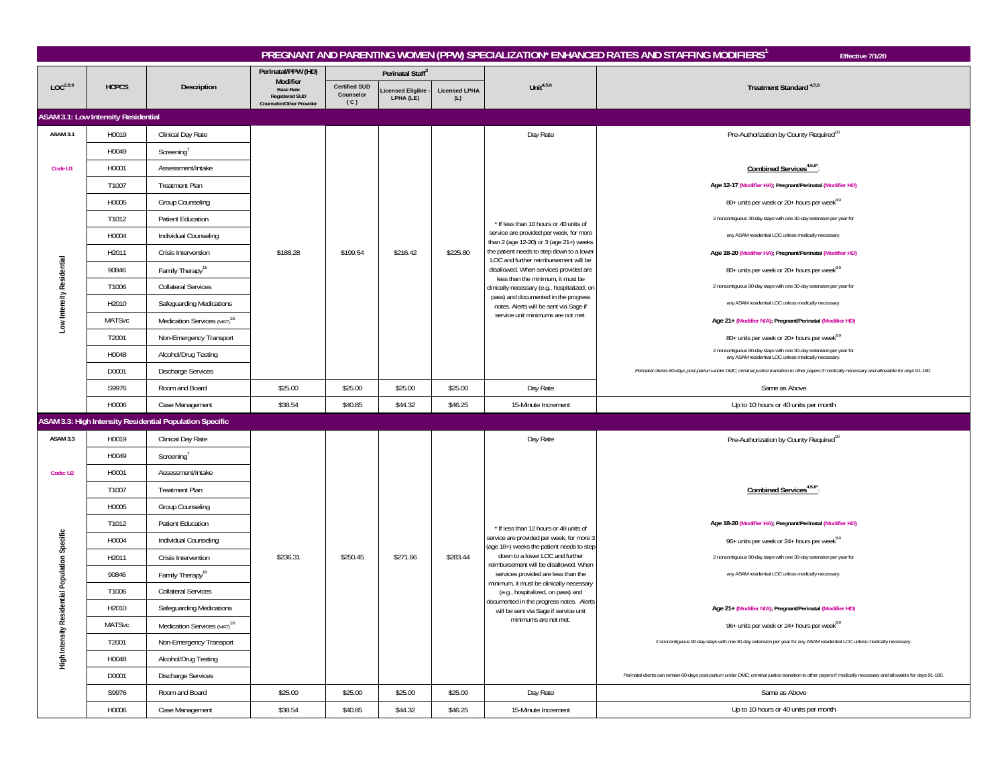|                              |                                     |                                                          |                                                                                   |                                          |                                       |                             |                                                                                                                                                                                                                                                                                                                                                                                           | PREGNANT AND PARENTING WOMEN (PPW) SPECIALIZATION* ENHANCED RATES AND STAFFING MODIFIERS <sup>1</sup><br>Effective 7/1/20                                     |
|------------------------------|-------------------------------------|----------------------------------------------------------|-----------------------------------------------------------------------------------|------------------------------------------|---------------------------------------|-----------------------------|-------------------------------------------------------------------------------------------------------------------------------------------------------------------------------------------------------------------------------------------------------------------------------------------------------------------------------------------------------------------------------------------|---------------------------------------------------------------------------------------------------------------------------------------------------------------|
|                              |                                     |                                                          | Perinatal/PPW (HD)                                                                |                                          | Perinatal Staff <sup>3</sup>          |                             |                                                                                                                                                                                                                                                                                                                                                                                           |                                                                                                                                                               |
| LOC <sup>2,8,9</sup>         | <b>HCPCS</b>                        | Description                                              | Modifier<br><b>Base Rate</b><br><b>Registered SUD</b><br>Counselor/Other Provider | <b>Certified SUD</b><br>Counselor<br>(C) | <b>Licensed Eligible</b><br>LPHA (LE) | <b>Licensed LPHA</b><br>(L) | Unit $4,5,6$                                                                                                                                                                                                                                                                                                                                                                              | Treatment Standard <sup>4,5,6</sup>                                                                                                                           |
|                              | ASAM 3.1: Low Intensity Residential |                                                          |                                                                                   |                                          |                                       |                             |                                                                                                                                                                                                                                                                                                                                                                                           |                                                                                                                                                               |
| <b>ASAM 3.1</b>              | H0019                               | Clinical Day Rate                                        |                                                                                   |                                          |                                       |                             | Day Rate                                                                                                                                                                                                                                                                                                                                                                                  | Pre-Authorization by County Required <sup>10</sup>                                                                                                            |
|                              | H0049                               | Screening'                                               |                                                                                   |                                          |                                       |                             |                                                                                                                                                                                                                                                                                                                                                                                           |                                                                                                                                                               |
| Code U1                      | H0001                               | Assessment/Intake                                        |                                                                                   |                                          |                                       |                             |                                                                                                                                                                                                                                                                                                                                                                                           | Combined Services <sup>4,5,6*</sup>                                                                                                                           |
|                              | T1007                               | <b>Treatment Plan</b>                                    |                                                                                   |                                          |                                       |                             |                                                                                                                                                                                                                                                                                                                                                                                           | Age 12-17 (Modifier HA); Pregnant/Perinatal (Modifier HD)                                                                                                     |
|                              | H0005                               | Group Counseling                                         |                                                                                   |                                          |                                       |                             |                                                                                                                                                                                                                                                                                                                                                                                           | 80+ units per week or 20+ hours per week <sup>8,9</sup>                                                                                                       |
|                              | T1012                               | Patient Education                                        |                                                                                   |                                          |                                       |                             | * If less than 10 hours or 40 units of                                                                                                                                                                                                                                                                                                                                                    | 2 noncontiguous 30-day stays with one 30-day extension per year for                                                                                           |
|                              | H0004                               | Individual Counseling                                    |                                                                                   |                                          | \$216.42                              | \$225.80                    | service are provided per week, for more<br>than 2 (age 12-20) or 3 (age 21+) weeks<br>the patient needs to step down to a lower<br>LOC and further reimbursement will be<br>disallowed. When services provided are<br>less than the minimum, it must be<br>clinically necessary (e.g., hospitalized, on<br>pass) and documented in the progress<br>notes. Alerts will be sent via Sage if | any ASAM residential LOC unless medically necessary.                                                                                                          |
|                              | H2011                               | Crisis Intervention                                      | \$188.28                                                                          | \$199.54                                 |                                       |                             |                                                                                                                                                                                                                                                                                                                                                                                           | Age 18-20 (Modifier HA); Pregnant/Perinatal (Modifier HD)                                                                                                     |
|                              | 90846                               | Family Therapy <sup>16</sup>                             |                                                                                   |                                          |                                       |                             |                                                                                                                                                                                                                                                                                                                                                                                           | 80+ units per week or 20+ hours per week <sup>8,9</sup>                                                                                                       |
|                              | T1006                               | <b>Collateral Services</b>                               |                                                                                   |                                          |                                       |                             |                                                                                                                                                                                                                                                                                                                                                                                           | 2 noncontiguous 90-day stays with one 30-day extension per year for                                                                                           |
| Low Intensity Residential    | H2010                               | Safeguarding Medications                                 |                                                                                   |                                          |                                       |                             |                                                                                                                                                                                                                                                                                                                                                                                           | any ASAM residential LOC unless medically necessary.                                                                                                          |
|                              | <b>MATSvc</b>                       | Medication Services (MAT) <sup>16</sup>                  |                                                                                   |                                          |                                       |                             | service unit minimums are not met.                                                                                                                                                                                                                                                                                                                                                        | Age 21+ (Modifier N/A); Pregnant/Perinatal (Modifier HD)                                                                                                      |
|                              | T2001                               | Non-Emergency Transport                                  |                                                                                   |                                          |                                       |                             |                                                                                                                                                                                                                                                                                                                                                                                           | 80+ units per week or 20+ hours per week <sup>8,9</sup>                                                                                                       |
|                              | H0048                               | Alcohol/Drug Testing                                     |                                                                                   |                                          |                                       |                             |                                                                                                                                                                                                                                                                                                                                                                                           | 2 noncontiguous 90-day stays with one 30-day extension per year for<br>any ASAM residential LOC unless medically necessary.                                   |
|                              | D0001                               | <b>Discharge Services</b>                                |                                                                                   |                                          |                                       |                             |                                                                                                                                                                                                                                                                                                                                                                                           | Perinatal clients 60-days post-partum under DMC; criminal justice transition to other payers if medically necessary and allowable for days 91-180.            |
|                              | S9976                               | Room and Board                                           | \$25.00                                                                           | \$25.00                                  | \$25.00                               | \$25.00                     | Day Rate                                                                                                                                                                                                                                                                                                                                                                                  | Same as Above                                                                                                                                                 |
|                              | H0006                               | Case Management                                          | \$38.54                                                                           | \$40.85                                  | \$44.32                               | \$46.25                     | 15-Minute Increment                                                                                                                                                                                                                                                                                                                                                                       | Up to 10 hours or 40 units per month                                                                                                                          |
|                              |                                     | ASAM 3.3: High Intensity Residential Population Specific |                                                                                   |                                          |                                       |                             |                                                                                                                                                                                                                                                                                                                                                                                           |                                                                                                                                                               |
| ASAM 3.3                     | H0019                               | Clinical Day Rate                                        |                                                                                   |                                          |                                       |                             | Day Rate                                                                                                                                                                                                                                                                                                                                                                                  | Pre-Authorization by County Required <sup>10</sup>                                                                                                            |
|                              | H0049                               | Screening'                                               |                                                                                   |                                          |                                       |                             |                                                                                                                                                                                                                                                                                                                                                                                           |                                                                                                                                                               |
| Code: U2                     | H0001                               | Assessment/Intake                                        |                                                                                   |                                          |                                       |                             |                                                                                                                                                                                                                                                                                                                                                                                           |                                                                                                                                                               |
|                              | T1007                               | Treatment Plan                                           |                                                                                   |                                          |                                       |                             |                                                                                                                                                                                                                                                                                                                                                                                           | Combined Services <sup>4,5,6*</sup>                                                                                                                           |
|                              | H0005                               | Group Counseling                                         |                                                                                   |                                          |                                       |                             |                                                                                                                                                                                                                                                                                                                                                                                           |                                                                                                                                                               |
|                              | T1012                               | <b>Patient Education</b>                                 |                                                                                   |                                          |                                       |                             | * If less than 12 hours or 48 units of                                                                                                                                                                                                                                                                                                                                                    | Age 18-20 (Modifier HA); Pregnant/Perinatal (Modifier HD)                                                                                                     |
| idential Population Specific | H0004                               | Individual Counseling                                    |                                                                                   |                                          |                                       |                             | service are provided per week, for more 3<br>(age 18+) weeks the patient needs to step                                                                                                                                                                                                                                                                                                    | 96+ units per week or 24+ hours per week <sup>8,9</sup>                                                                                                       |
|                              | H2011                               | Crisis Intervention                                      | \$236.31                                                                          | \$250.45                                 | \$271.66                              | \$283.44                    | down to a lower LOC and further<br>eimbursement will be disallowed. When                                                                                                                                                                                                                                                                                                                  | 2 noncontiguous 90-day stays with one 30-day extension per year for                                                                                           |
|                              | 90846                               | Family Therapy <sup>16</sup>                             |                                                                                   |                                          |                                       |                             | services provided are less than the                                                                                                                                                                                                                                                                                                                                                       | any ASAM residential LOC unless medically necessary.                                                                                                          |
|                              | T1006                               | <b>Collateral Services</b>                               |                                                                                   |                                          |                                       |                             | minimum, it must be clinically necessary<br>(e.g., hospitalized, on pass) and                                                                                                                                                                                                                                                                                                             |                                                                                                                                                               |
|                              | H2010                               | Safeguarding Medications                                 |                                                                                   |                                          |                                       |                             | documented in the progress notes. Alerts<br>will be sent via Sage if service unit                                                                                                                                                                                                                                                                                                         | Age 21+ (Modifier N/A); Pregnant/Perinatal (Modifier HD)                                                                                                      |
|                              | <b>MATSvc</b>                       | Medication Services (MAT) <sup>16</sup>                  |                                                                                   |                                          |                                       |                             | minimums are not met.                                                                                                                                                                                                                                                                                                                                                                     | 96+ units per week or 24+ hours per week <sup>8,9</sup>                                                                                                       |
| High Intensity Res           | T2001                               | Non-Emergency Transport                                  |                                                                                   |                                          |                                       |                             |                                                                                                                                                                                                                                                                                                                                                                                           | 2 noncontiguous 90-day stays with one 30-day extension per year for any ASAM residential LOC unless medically necessary.                                      |
|                              | H0048                               | Alcohol/Drug Testing                                     |                                                                                   |                                          |                                       |                             |                                                                                                                                                                                                                                                                                                                                                                                           |                                                                                                                                                               |
|                              |                                     | <b>Discharge Services</b>                                |                                                                                   |                                          |                                       |                             |                                                                                                                                                                                                                                                                                                                                                                                           | Perinatal clients can remain 60-days post-partum under DMC; criminal justice transition to other payers if medically necessary and allowable for days 91-180. |
|                              | D0001                               |                                                          |                                                                                   |                                          |                                       |                             |                                                                                                                                                                                                                                                                                                                                                                                           |                                                                                                                                                               |
|                              | S9976                               | Room and Board                                           | \$25.00                                                                           | \$25.00                                  | \$25.00                               | \$25.00                     | Day Rate                                                                                                                                                                                                                                                                                                                                                                                  | Same as Above                                                                                                                                                 |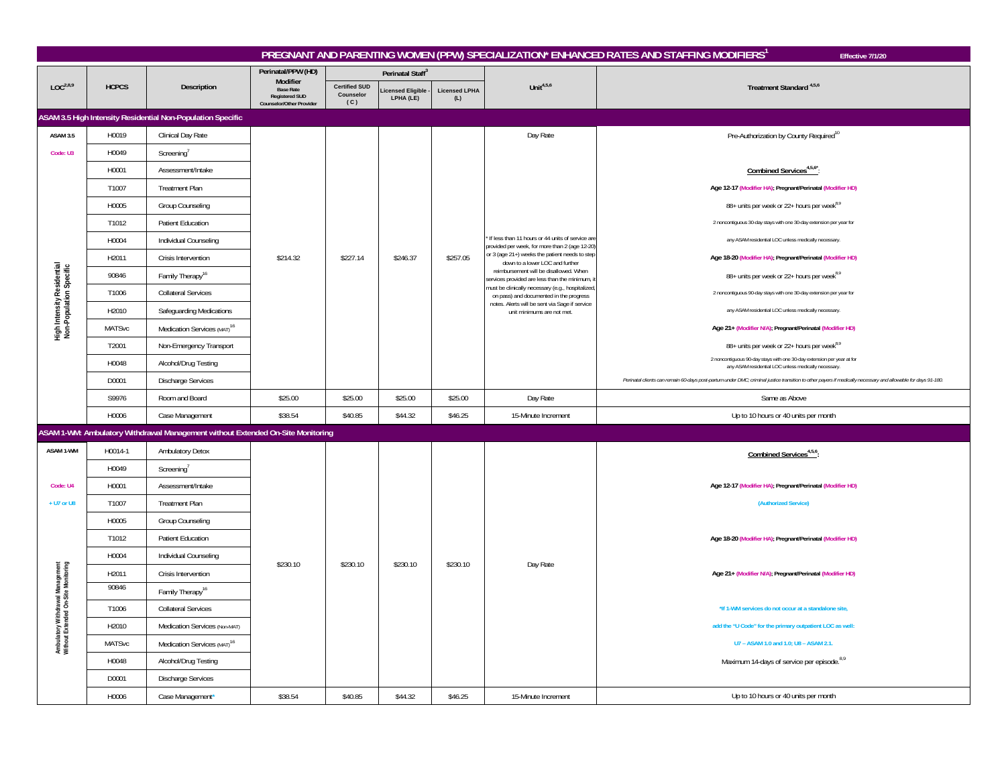|                                                                         |               |                                                                                 |                                                                       |                                          |                               |                             |                                                                                                    | PREGNANT AND PARENTING WOMEN (PPW) SPECIALIZATION* ENHANCED RATES AND STAFFING MODIFIERS <sup>1</sup><br>Effective 7/1/20                                     |
|-------------------------------------------------------------------------|---------------|---------------------------------------------------------------------------------|-----------------------------------------------------------------------|------------------------------------------|-------------------------------|-----------------------------|----------------------------------------------------------------------------------------------------|---------------------------------------------------------------------------------------------------------------------------------------------------------------|
|                                                                         |               |                                                                                 | Perinatal/PPW (HD)<br>Modifier                                        |                                          | Perinatal Staff <sup>3</sup>  |                             |                                                                                                    |                                                                                                                                                               |
| LOC <sup>2,8,9</sup>                                                    | <b>HCPCS</b>  | Description                                                                     | <b>Base Rate</b><br><b>Registered SUD</b><br>Counselor/Other Provider | <b>Certified SUD</b><br>Counselor<br>(C) | icensed Eligible<br>LPHA (LE) | <b>Licensed LPHA</b><br>(L) | Unit <sup>4,5,6</sup>                                                                              | Treatment Standard <sup>4,5,6</sup>                                                                                                                           |
|                                                                         |               | ASAM 3.5 High Intensity Residential Non-Population Specific                     |                                                                       |                                          |                               |                             |                                                                                                    |                                                                                                                                                               |
| <b>ASAM 3.5</b>                                                         | H0019         | Clinical Day Rate                                                               |                                                                       |                                          |                               |                             | Day Rate                                                                                           | Pre-Authorization by County Required <sup>10</sup>                                                                                                            |
| Code: U3                                                                | H0049         | Screening'                                                                      |                                                                       |                                          |                               |                             |                                                                                                    |                                                                                                                                                               |
|                                                                         | H0001         | Assessment/Intake                                                               |                                                                       |                                          |                               |                             |                                                                                                    | Combined Services <sup>4,5,6*</sup>                                                                                                                           |
|                                                                         | T1007         | <b>Treatment Plan</b>                                                           |                                                                       |                                          |                               |                             |                                                                                                    | Age 12-17 (Modifier HA); Pregnant/Perinatal (Modifier HD)                                                                                                     |
|                                                                         | H0005         | Group Counseling                                                                |                                                                       |                                          |                               |                             |                                                                                                    | 88+ units per week or 22+ hours per week <sup>8,9</sup>                                                                                                       |
|                                                                         | T1012         | <b>Patient Education</b>                                                        |                                                                       |                                          | \$246.37                      |                             |                                                                                                    | 2 noncontiguous 30-day stays with one 30-day extension per year for                                                                                           |
|                                                                         | H0004         | Individual Counseling                                                           |                                                                       |                                          |                               |                             | If less than 11 hours or 44 units of service are<br>provided per week, for more than 2 (age 12-20) | any ASAM residential LOC unless medically necessary.                                                                                                          |
|                                                                         | H2011         | Crisis Intervention                                                             | \$214.32                                                              | \$227.14                                 |                               | \$257.05                    | or 3 (age 21+) weeks the patient needs to step<br>down to a lower LOC and further                  | Age 18-20 (Modifier HA); Pregnant/Perinatal (Modifier HD)                                                                                                     |
| High Intensity Residential<br>Non-Population Specific                   | 90846         | Family Therapy <sup>16</sup>                                                    |                                                                       |                                          |                               |                             | reimbursement will be disallowed. When<br>services provided are less than the minimum,             | 88+ units per week or 22+ hours per week <sup>8,9</sup>                                                                                                       |
|                                                                         | T1006         | <b>Collateral Services</b>                                                      |                                                                       |                                          |                               |                             | must be clinically necessary (e.g., hospitalized<br>on pass) and documented in the progress        | 2 noncontiguous 90-day stays with one 30-day extension per year for                                                                                           |
|                                                                         | H2010         | Safeguarding Medications                                                        |                                                                       |                                          |                               |                             | notes. Alerts will be sent via Sage if service<br>unit minimums are not met.                       | any ASAM residential LOC unless medically necessary.                                                                                                          |
|                                                                         | <b>MATSvc</b> | Medication Services (MAT) <sup>16</sup>                                         |                                                                       |                                          |                               |                             |                                                                                                    | Age 21+ (Modifier N/A); Pregnant/Perinatal (Modifier HD)                                                                                                      |
|                                                                         | T2001         | Non-Emergency Transport                                                         |                                                                       |                                          |                               |                             |                                                                                                    | 88+ units per week or 22+ hours per week <sup>8,9</sup>                                                                                                       |
|                                                                         | H0048         | Alcohol/Drug Testing                                                            |                                                                       |                                          |                               |                             |                                                                                                    | 2 noncontiguous 90-day stays with one 30-day extension per year at for<br>any ASAM residential LOC unless medically necessary.                                |
|                                                                         | D0001         | <b>Discharge Services</b>                                                       |                                                                       |                                          |                               |                             |                                                                                                    | Perinatal clients can remain 60-days post-partum under DMC; criminal justice transition to other payers if medically necessary and allowable for days 91-180. |
|                                                                         | S9976         | Room and Board                                                                  | \$25.00                                                               | \$25.00                                  | \$25.00                       | \$25.00                     | Day Rate                                                                                           | Same as Above                                                                                                                                                 |
|                                                                         | H0006         | Case Management                                                                 | \$38.54                                                               | \$40.85                                  | \$44.32                       | \$46.25                     | 15-Minute Increment                                                                                | Up to 10 hours or 40 units per month                                                                                                                          |
|                                                                         |               | ASAM 1-WM: Ambulatory Withdrawal Management without Extended On-Site Monitoring |                                                                       |                                          |                               |                             |                                                                                                    |                                                                                                                                                               |
| ASAM 1-WM                                                               | H0014-1       | Ambulatory Detox                                                                |                                                                       |                                          |                               |                             |                                                                                                    | Combined Services <sup>4,5,6</sup> :                                                                                                                          |
|                                                                         | H0049         | Screening'                                                                      |                                                                       |                                          |                               |                             |                                                                                                    |                                                                                                                                                               |
| Code: U4                                                                | H0001         | Assessment/Intake                                                               |                                                                       |                                          |                               |                             |                                                                                                    | Age 12-17 (Modifier HA); Pregnant/Perinatal (Modifier HD)                                                                                                     |
| + U7 or U8                                                              | T1007         | <b>Treatment Plan</b>                                                           |                                                                       |                                          |                               |                             |                                                                                                    | (Authorized Service)                                                                                                                                          |
|                                                                         | H0005         | Group Counseling                                                                |                                                                       |                                          |                               |                             |                                                                                                    |                                                                                                                                                               |
|                                                                         | T1012         | <b>Patient Education</b>                                                        |                                                                       |                                          |                               |                             |                                                                                                    | Age 18-20 (Modifier HA); Pregnant/Perinatal (Modifier HD)                                                                                                     |
|                                                                         | H0004         | Individual Counseling                                                           | \$230.10                                                              | \$230.10                                 | \$230.10                      | \$230.10                    | Day Rate                                                                                           |                                                                                                                                                               |
|                                                                         | H2011         | Crisis Intervention                                                             |                                                                       |                                          |                               |                             |                                                                                                    | Age 21+ (Modifier N/A); Pregnant/Perinatal (Modifier HD)                                                                                                      |
|                                                                         | 90846         | Family Therapy <sup>16</sup>                                                    |                                                                       |                                          |                               |                             |                                                                                                    |                                                                                                                                                               |
|                                                                         | T1006         | <b>Collateral Services</b>                                                      |                                                                       |                                          |                               |                             |                                                                                                    | *If 1-WM services do not occur at a standalone site,                                                                                                          |
|                                                                         | H2010         | Medication Services (Non-MAT)                                                   |                                                                       |                                          |                               |                             |                                                                                                    | add the "U Code" for the primary outpatient LOC as well:                                                                                                      |
| Ambulatory Withdrawal Management<br>Without Extended On-Site Monitoring | MATSvc        | Medication Services (MAT) <sup>16</sup>                                         |                                                                       |                                          |                               |                             |                                                                                                    | U7 - ASAM 1.0 and 1.0; U8 - ASAM 2.1.                                                                                                                         |
|                                                                         | H0048         | Alcohol/Drug Testing                                                            |                                                                       |                                          |                               |                             |                                                                                                    | Maximum 14-days of service per episode. <sup>8,9</sup>                                                                                                        |
|                                                                         | D0001         | <b>Discharge Services</b>                                                       |                                                                       |                                          |                               |                             |                                                                                                    |                                                                                                                                                               |
|                                                                         | H0006         | Case Management*                                                                | \$38.54                                                               | \$40.85                                  | \$44.32                       | \$46.25                     | 15-Minute Increment                                                                                | Up to 10 hours or 40 units per month                                                                                                                          |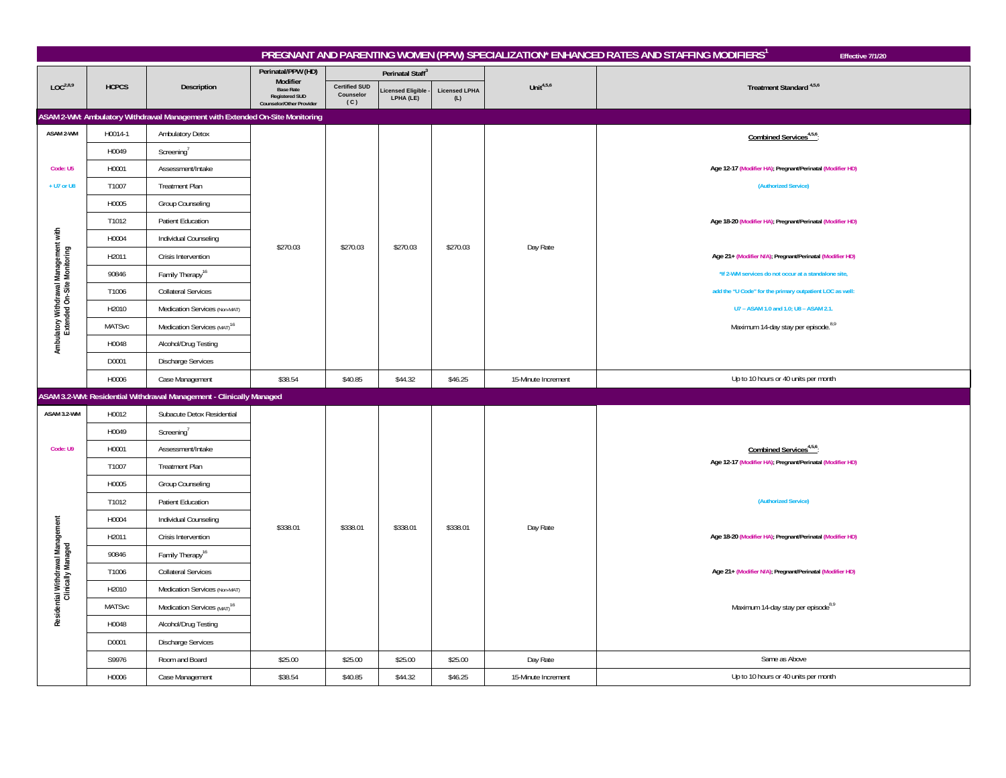|                                                                      |               |                                                                              |                                                                                   |                                          |                               |                             |                     | PREGNANT AND PARENTING WOMEN (PPW) SPECIALIZATION* ENHANCED RATES AND STAFFING MODIFIERS <sup>1</sup><br>Effective 7/1/20 |
|----------------------------------------------------------------------|---------------|------------------------------------------------------------------------------|-----------------------------------------------------------------------------------|------------------------------------------|-------------------------------|-----------------------------|---------------------|---------------------------------------------------------------------------------------------------------------------------|
|                                                                      |               |                                                                              | Perinatal/PPW (HD)                                                                |                                          | Perinatal Staff <sup>3</sup>  |                             |                     |                                                                                                                           |
| LOC <sup>2,8,9</sup>                                                 | <b>HCPCS</b>  | Description                                                                  | Modifier<br><b>Base Rate</b><br><b>Registered SUD</b><br>Counselor/Other Provider | <b>Certified SUD</b><br>Counselor<br>(C) | icensed Eligible<br>LPHA (LE) | <b>Licensed LPHA</b><br>(L) | Unit $4,5,6$        | Treatment Standard <sup>4,5,6</sup>                                                                                       |
|                                                                      |               | ASAM 2-WM: Ambulatory Withdrawal Management with Extended On-Site Monitoring |                                                                                   |                                          |                               |                             |                     |                                                                                                                           |
| ASAM 2-WM                                                            | H0014-1       | Ambulatory Detox                                                             |                                                                                   |                                          |                               |                             |                     | Combined Services <sup>4,5,6</sup> :                                                                                      |
|                                                                      | H0049         | Screening                                                                    |                                                                                   |                                          |                               |                             |                     |                                                                                                                           |
| Code: U5                                                             | H0001         | Assessment/Intake                                                            |                                                                                   |                                          |                               |                             |                     | Age 12-17 (Modifier HA); Pregnant/Perinatal (Modifier HD)                                                                 |
| + U7 or U8                                                           | T1007         | Treatment Plan                                                               |                                                                                   |                                          |                               |                             |                     | (Authorized Service)                                                                                                      |
|                                                                      | H0005         | Group Counseling                                                             |                                                                                   |                                          |                               |                             |                     |                                                                                                                           |
|                                                                      | T1012         | <b>Patient Education</b>                                                     |                                                                                   |                                          |                               |                             | Day Rate            | Age 18-20 (Modifier HA); Pregnant/Perinatal (Modifier HD)                                                                 |
|                                                                      | H0004         | Individual Counseling                                                        | \$270.03                                                                          | \$270.03                                 | \$270.03                      | \$270.03                    |                     |                                                                                                                           |
| Ambulatory Withdrawal Management with<br>Extended On-Site Monitoring | H2011         | Crisis Intervention                                                          |                                                                                   |                                          |                               |                             |                     | Age 21+ (Modifier N/A); Pregnant/Perinatal (Modifier HD)                                                                  |
|                                                                      | 90846         | Family Therapy <sup>16</sup>                                                 |                                                                                   |                                          |                               |                             |                     | *If 2-WM services do not occur at a standalone site,                                                                      |
|                                                                      | T1006         | <b>Collateral Services</b>                                                   |                                                                                   |                                          |                               |                             |                     | add the "U Code" for the primary outpatient LOC as well:                                                                  |
|                                                                      | H2010         | Medication Services (Non-MAT)                                                |                                                                                   |                                          |                               |                             |                     | U7 - ASAM 1.0 and 1.0; U8 - ASAM 2.1.                                                                                     |
|                                                                      | MATSvc        | Medication Services (MAT) <sup>16</sup>                                      |                                                                                   |                                          |                               |                             |                     | Maximum 14-day stay per episode. <sup>8,9</sup>                                                                           |
|                                                                      | H0048         | Alcohol/Drug Testing                                                         |                                                                                   |                                          |                               |                             |                     |                                                                                                                           |
|                                                                      | D0001         | <b>Discharge Services</b>                                                    |                                                                                   |                                          |                               |                             |                     |                                                                                                                           |
|                                                                      | H0006         | Case Management                                                              | \$38.54                                                                           | \$40.85                                  | \$44.32                       | \$46.25                     | 15-Minute Increment | Up to 10 hours or 40 units per month                                                                                      |
|                                                                      |               | ASAM 3.2-WM: Residential Withdrawal Management - Clinically Managed          |                                                                                   |                                          |                               |                             |                     |                                                                                                                           |
| ASAM 3.2-WM                                                          | H0012         | Subacute Detox Residential                                                   |                                                                                   |                                          |                               |                             |                     |                                                                                                                           |
|                                                                      | H0049         | Screening                                                                    |                                                                                   |                                          |                               |                             |                     |                                                                                                                           |
| Code: U9                                                             | H0001         | Assessment/Intake                                                            |                                                                                   |                                          |                               |                             |                     | Combined Services <sup>4,5,6</sup> :                                                                                      |
|                                                                      | T1007         | <b>Treatment Plan</b>                                                        |                                                                                   |                                          |                               |                             |                     | Age 12-17 (Modifier HA); Pregnant/Perinatal (Modifier HD)                                                                 |
|                                                                      | H0005         | Group Counseling                                                             |                                                                                   |                                          |                               |                             |                     |                                                                                                                           |
|                                                                      | T1012         | Patient Education                                                            |                                                                                   |                                          |                               |                             |                     | (Authorized Service)                                                                                                      |
|                                                                      | H0004         | Individual Counseling                                                        | \$338.01                                                                          | \$338.01                                 | \$338.01                      | \$338.01                    | Day Rate            |                                                                                                                           |
|                                                                      | H2011         | Crisis Intervention                                                          |                                                                                   |                                          |                               |                             |                     | Age 18-20 (Modifier HA); Pregnant/Perinatal (Modifier HD)                                                                 |
|                                                                      | 90846         | Family Therapy <sup>16</sup>                                                 |                                                                                   |                                          |                               |                             |                     |                                                                                                                           |
|                                                                      | T1006         | <b>Collateral Services</b>                                                   |                                                                                   |                                          |                               |                             |                     | Age 21+ (Modifier N/A); Pregnant/Perinatal (Modifier HD)                                                                  |
|                                                                      | H2010         | Medication Services (Non-MAT)                                                |                                                                                   |                                          |                               |                             |                     |                                                                                                                           |
| Residential Withdrawal Management<br>Clinically Managed              | <b>MATSvc</b> | Medication Services (MAT) <sup>16</sup>                                      |                                                                                   |                                          |                               |                             |                     | Maximum 14-day stay per episode <sup>8,9</sup>                                                                            |
|                                                                      | H0048         | Alcohol/Drug Testing                                                         |                                                                                   |                                          |                               |                             |                     |                                                                                                                           |
|                                                                      | D0001         | <b>Discharge Services</b>                                                    |                                                                                   |                                          |                               |                             |                     |                                                                                                                           |
|                                                                      | S9976         | Room and Board                                                               | \$25.00                                                                           | \$25.00                                  | \$25.00                       | \$25.00                     | Day Rate            | Same as Above                                                                                                             |
|                                                                      | H0006         | Case Management                                                              | \$38.54                                                                           | \$40.85                                  | \$44.32                       | \$46.25                     | 15-Minute Increment | Up to 10 hours or 40 units per month                                                                                      |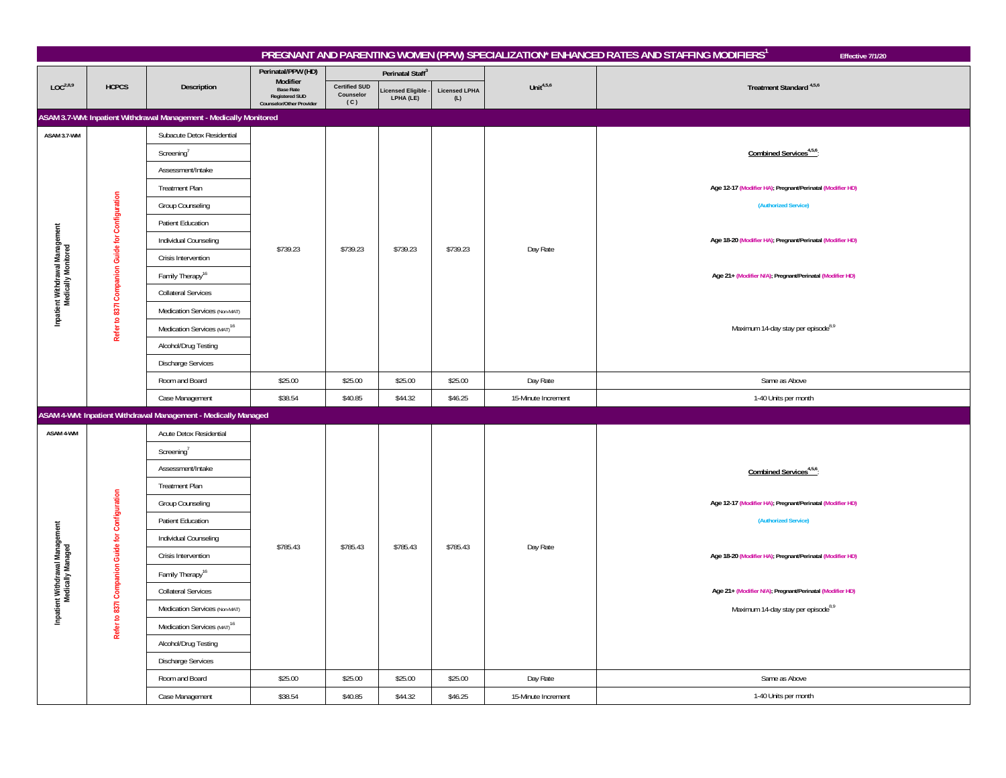|                                                        |                                                 |                                                                    |                                                                       |                                          |                                       |                             |                     | PREGNANT AND PARENTING WOMEN (PPW) SPECIALIZATION* ENHANCED RATES AND STAFFING MODIFIERS1<br>Effective 7/1/20 |
|--------------------------------------------------------|-------------------------------------------------|--------------------------------------------------------------------|-----------------------------------------------------------------------|------------------------------------------|---------------------------------------|-----------------------------|---------------------|---------------------------------------------------------------------------------------------------------------|
|                                                        |                                                 |                                                                    | Perinatal/PPW (HD)<br>Modifier                                        |                                          | Perinatal Staff <sup>3</sup>          |                             |                     |                                                                                                               |
| LOC <sup>2,8,9</sup>                                   | <b>HCPCS</b>                                    | Description                                                        | <b>Base Rate</b><br><b>Registered SUD</b><br>Counselor/Other Provider | <b>Certified SUD</b><br>Counselor<br>(C) | <b>Licensed Eligible</b><br>LPHA (LE) | <b>Licensed LPHA</b><br>(L) | Unit $4,5,6$        | Treatment Standard <sup>4,5,6</sup>                                                                           |
|                                                        |                                                 | ASAM 3.7-WM: Inpatient Withdrawal Management - Medically Monitored |                                                                       |                                          |                                       |                             |                     |                                                                                                               |
| ASAM 3.7-WM                                            |                                                 | Subacute Detox Residential                                         |                                                                       |                                          |                                       |                             |                     |                                                                                                               |
|                                                        |                                                 | Screening'                                                         |                                                                       |                                          |                                       |                             |                     | Combined Services <sup>4,5,6</sup> :                                                                          |
|                                                        |                                                 | Assessment/Intake                                                  |                                                                       |                                          |                                       |                             |                     |                                                                                                               |
|                                                        |                                                 | <b>Treatment Plan</b>                                              |                                                                       |                                          |                                       |                             |                     | Age 12-17 (Modifier HA); Pregnant/Perinatal (Modifier HD)                                                     |
|                                                        |                                                 | Group Counseling                                                   |                                                                       |                                          |                                       |                             |                     | (Authorized Service)                                                                                          |
|                                                        |                                                 | Patient Education                                                  |                                                                       |                                          | \$739.23                              |                             |                     |                                                                                                               |
|                                                        |                                                 | Individual Counseling                                              | \$739.23                                                              | \$739.23                                 |                                       | \$739.23                    | Day Rate            | Age 18-20 (Modifier HA); Pregnant/Perinatal (Modifier HD)                                                     |
|                                                        |                                                 | Crisis Intervention                                                |                                                                       |                                          |                                       |                             |                     |                                                                                                               |
|                                                        |                                                 | Family Therapy <sup>16</sup>                                       |                                                                       |                                          |                                       |                             |                     | Age 21+ (Modifier N/A); Pregnant/Perinatal (Modifier HD)                                                      |
| Inpatient Withdrawal Management<br>Medically Monitored |                                                 | Collateral Services                                                |                                                                       |                                          |                                       |                             |                     |                                                                                                               |
|                                                        |                                                 | Medication Services (Non-MAT)                                      |                                                                       |                                          |                                       |                             |                     |                                                                                                               |
|                                                        | Refer to 8371 Companion Guide for Configuration | Medication Services (MAT) <sup>16</sup>                            |                                                                       |                                          |                                       |                             |                     | Maximum 14-day stay per episode <sup>8,9</sup>                                                                |
|                                                        |                                                 | Alcohol/Drug Testing                                               |                                                                       |                                          |                                       |                             |                     |                                                                                                               |
|                                                        |                                                 | Discharge Services                                                 |                                                                       |                                          |                                       |                             |                     |                                                                                                               |
|                                                        |                                                 | Room and Board                                                     | \$25.00                                                               | \$25.00                                  | \$25.00                               | \$25.00                     | Day Rate            | Same as Above                                                                                                 |
|                                                        |                                                 | Case Management                                                    | \$38.54                                                               | \$40.85                                  | \$44.32                               | \$46.25                     | 15-Minute Increment | 1-40 Units per month                                                                                          |
|                                                        |                                                 | ASAM 4-WM: Inpatient Withdrawal Management - Medically Managed     |                                                                       |                                          |                                       |                             |                     |                                                                                                               |
| ASAM 4-WM                                              |                                                 | Acute Detox Residential                                            |                                                                       |                                          |                                       |                             |                     |                                                                                                               |
|                                                        |                                                 | Screening                                                          |                                                                       |                                          |                                       |                             |                     |                                                                                                               |
|                                                        |                                                 | Assessment/Intake                                                  |                                                                       |                                          |                                       |                             |                     | Combined Services <sup>4,5,6</sup> :                                                                          |
|                                                        |                                                 | <b>Treatment Plan</b>                                              |                                                                       |                                          |                                       |                             |                     |                                                                                                               |
|                                                        | 837I Companion Guide for Configuration          | Group Counseling                                                   |                                                                       |                                          |                                       |                             |                     | Age 12-17 (Modifier HA); Pregnant/Perinatal (Modifier HD)                                                     |
|                                                        |                                                 | Patient Education                                                  |                                                                       |                                          |                                       |                             |                     | (Authorized Service)                                                                                          |
|                                                        |                                                 | Individual Counseling                                              | \$785.43                                                              | \$785.43                                 | \$785.43                              | \$785.43                    | Day Rate            |                                                                                                               |
|                                                        |                                                 | Crisis Intervention                                                |                                                                       |                                          |                                       |                             |                     | Age 18-20 (Modifier HA); Pregnant/Perinatal (Modifier HD)                                                     |
|                                                        |                                                 | Family Therapy <sup>16</sup>                                       |                                                                       |                                          |                                       |                             |                     |                                                                                                               |
| tient Withdrawal Management<br>Medically Managed       |                                                 | <b>Collateral Services</b>                                         |                                                                       |                                          |                                       |                             |                     | Age 21+ (Modifier N/A); Pregnant/Perinatal (Modifier HD)                                                      |
| pa                                                     |                                                 | Medication Services (Non-MAT)                                      |                                                                       |                                          |                                       |                             |                     | Maximum 14-day stay per episode <sup>8,9</sup>                                                                |
|                                                        | Refer to a                                      | Medication Services (MAT) <sup>16</sup>                            |                                                                       |                                          |                                       |                             |                     |                                                                                                               |
|                                                        |                                                 | Alcohol/Drug Testing                                               |                                                                       |                                          |                                       |                             |                     |                                                                                                               |
|                                                        |                                                 | Discharge Services                                                 |                                                                       |                                          |                                       |                             |                     |                                                                                                               |
|                                                        |                                                 | Room and Board                                                     | \$25.00                                                               | \$25.00                                  | \$25.00                               | \$25.00                     | Day Rate            | Same as Above                                                                                                 |
|                                                        |                                                 | Case Management                                                    | \$38.54                                                               | \$40.85                                  | \$44.32                               | \$46.25                     | 15-Minute Increment | 1-40 Units per month                                                                                          |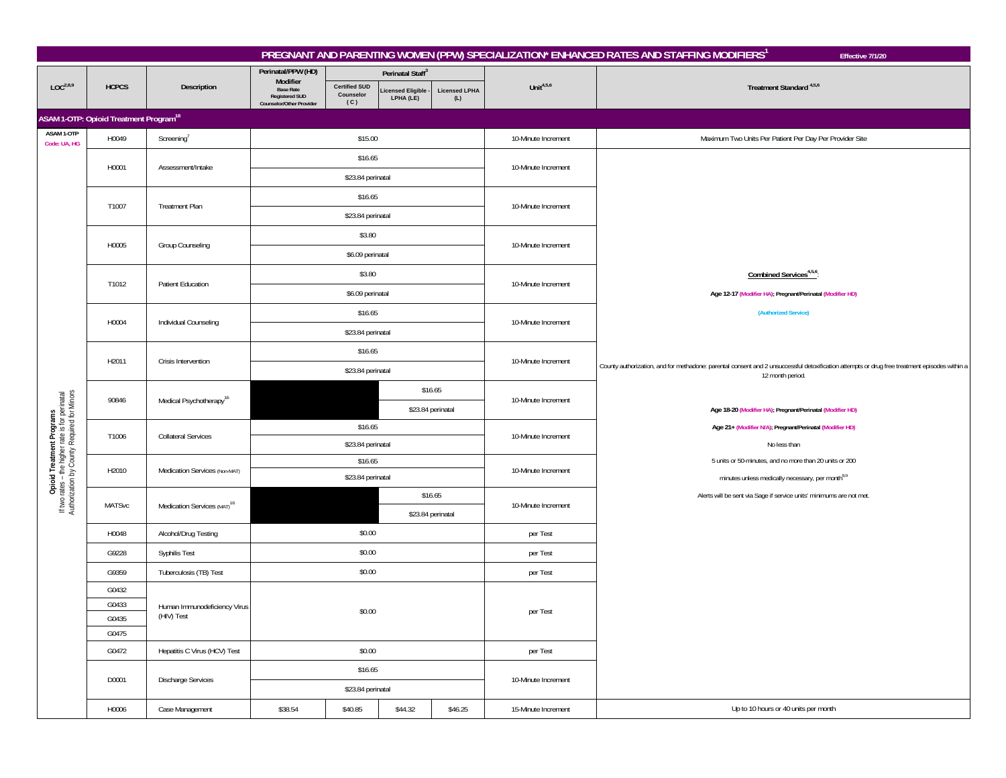|                                                                                                                             |                                                          |                                            |                                                                                   |                                          |                               |                             |                     | PREGNANT AND PARENTING WOMEN (PPW) SPECIALIZATION* ENHANCED RATES AND STAFFING MODIFIERS <sup>1</sup><br>Effective 7/1/20                     |  |  |
|-----------------------------------------------------------------------------------------------------------------------------|----------------------------------------------------------|--------------------------------------------|-----------------------------------------------------------------------------------|------------------------------------------|-------------------------------|-----------------------------|---------------------|-----------------------------------------------------------------------------------------------------------------------------------------------|--|--|
|                                                                                                                             |                                                          |                                            | Perinatal/PPW (HD)                                                                |                                          | Perinatal Staff <sup>3</sup>  |                             |                     |                                                                                                                                               |  |  |
| LOC <sup>2,8,9</sup>                                                                                                        | <b>HCPCS</b>                                             | Description                                | Modifier<br><b>Base Rate</b><br><b>Registered SUD</b><br>Counselor/Other Provider | <b>Certified SUD</b><br>Counselor<br>(C) | icensed Eligible<br>LPHA (LE) | <b>Licensed LPHA</b><br>(L) | Unit $4,5,6$        | Treatment Standard <sup>4,5,6</sup>                                                                                                           |  |  |
|                                                                                                                             | <b>ASAM 1-OTP: Opioid Treatment Program<sup>18</sup></b> |                                            |                                                                                   |                                          |                               |                             |                     |                                                                                                                                               |  |  |
| ASAM 1-OTP<br>Code: UA, HG                                                                                                  | H0049                                                    | $Screening^7$                              |                                                                                   | \$15.00                                  |                               |                             | 10-Minute Increment | Maximum Two Units Per Patient Per Day Per Provider Site                                                                                       |  |  |
|                                                                                                                             |                                                          |                                            |                                                                                   | \$16.65                                  |                               |                             |                     |                                                                                                                                               |  |  |
|                                                                                                                             | H0001                                                    | Assessment/Intake                          |                                                                                   | \$23.84 perinatal                        |                               |                             | 10-Minute Increment |                                                                                                                                               |  |  |
|                                                                                                                             |                                                          |                                            |                                                                                   | \$16.65                                  |                               |                             |                     |                                                                                                                                               |  |  |
|                                                                                                                             | T1007                                                    | Treatment Plan                             |                                                                                   | \$23.84 perinatal                        |                               |                             | 10-Minute Increment |                                                                                                                                               |  |  |
|                                                                                                                             |                                                          |                                            |                                                                                   | \$3.80                                   |                               |                             |                     |                                                                                                                                               |  |  |
|                                                                                                                             | H0005                                                    | Group Counseling                           |                                                                                   | \$6.09 perinatal                         |                               |                             | 10-Minute Increment |                                                                                                                                               |  |  |
|                                                                                                                             |                                                          |                                            |                                                                                   | \$3.80                                   |                               |                             |                     | Combined Services <sup>4,5,6</sup>                                                                                                            |  |  |
|                                                                                                                             | T1012                                                    | <b>Patient Education</b>                   |                                                                                   | \$6.09 perinatal                         |                               |                             | 10-Minute Increment | Age 12-17 (Modifier HA); Pregnant/Perinatal (Modifier HD)                                                                                     |  |  |
|                                                                                                                             |                                                          |                                            |                                                                                   | \$16.65                                  |                               |                             |                     | (Authorized Service)                                                                                                                          |  |  |
|                                                                                                                             | H0004                                                    | Individual Counseling                      |                                                                                   | \$23.84 perinatal                        |                               |                             | 10-Minute Increment |                                                                                                                                               |  |  |
|                                                                                                                             |                                                          |                                            |                                                                                   | \$16.65                                  |                               |                             |                     |                                                                                                                                               |  |  |
|                                                                                                                             | H2011                                                    | Crisis Intervention                        |                                                                                   | \$23.84 perinatal                        |                               |                             | 10-Minute Increment | County authorization, and for methadone: parental consent and 2 unsuccessful detoxification attempts or drug free treatment episodes within a |  |  |
|                                                                                                                             |                                                          |                                            |                                                                                   |                                          | \$16.65                       |                             |                     | 12 month period.                                                                                                                              |  |  |
| Opioid Treatment Programs<br>If two rates - the higher rate is for perinatal<br>Authorization by County Required for Minors | 90846                                                    | Medical Psychotherapy <sup>16</sup>        | \$23.84 perinatal                                                                 |                                          |                               |                             | 10-Minute Increment | Age 18-20 (Modifier HA); Pregnant/Perinatal (Modifier HD)                                                                                     |  |  |
|                                                                                                                             |                                                          |                                            |                                                                                   | \$16.65                                  |                               |                             |                     | Age 21+ (Modifier N/A); Pregnant/Perinatal (Modifier HD)                                                                                      |  |  |
|                                                                                                                             | T1006                                                    | <b>Collateral Services</b>                 |                                                                                   | \$23.84 perinatal                        |                               |                             | 10-Minute Increment | No less than                                                                                                                                  |  |  |
|                                                                                                                             | H2010                                                    | Medication Services (Non-MAT)              |                                                                                   | \$16.65                                  |                               |                             | 10-Minute Increment | 5 units or 50-minutes, and no more than 20 units or 200                                                                                       |  |  |
|                                                                                                                             |                                                          |                                            |                                                                                   | \$23.84 perinatal                        |                               |                             |                     | minutes unless medically necessary, per month <sup>8,9</sup>                                                                                  |  |  |
|                                                                                                                             | MATSvc                                                   | Medication Services (MAT) <sup>16</sup>    |                                                                                   |                                          | \$16.65                       |                             | 10-Minute Increment | Alerts will be sent via Sage if service units' minimums are not met.                                                                          |  |  |
|                                                                                                                             |                                                          |                                            |                                                                                   |                                          |                               | \$23.84 perinatal           |                     |                                                                                                                                               |  |  |
|                                                                                                                             | H0048                                                    | Alcohol/Drug Testing                       |                                                                                   | \$0.00                                   |                               |                             | per Test            |                                                                                                                                               |  |  |
|                                                                                                                             | G9228                                                    | Syphilis Test                              |                                                                                   | \$0.00                                   |                               |                             | per Test            |                                                                                                                                               |  |  |
|                                                                                                                             | G9359                                                    | Tuberculosis (TB) Test                     |                                                                                   | \$0.00                                   |                               |                             | per Test            |                                                                                                                                               |  |  |
|                                                                                                                             | G0432                                                    |                                            |                                                                                   |                                          |                               |                             |                     |                                                                                                                                               |  |  |
|                                                                                                                             | G0433<br>G0435                                           | Human Immunodeficiency Virus<br>(HIV) Test |                                                                                   | \$0.00                                   |                               |                             | per Test            |                                                                                                                                               |  |  |
|                                                                                                                             | G0475                                                    |                                            |                                                                                   |                                          |                               |                             |                     |                                                                                                                                               |  |  |
|                                                                                                                             | G0472                                                    | Hepatitis C Virus (HCV) Test               |                                                                                   | \$0.00                                   |                               |                             | per Test            |                                                                                                                                               |  |  |
|                                                                                                                             |                                                          |                                            |                                                                                   |                                          |                               |                             |                     |                                                                                                                                               |  |  |
|                                                                                                                             | D0001                                                    | Discharge Services                         | \$16.65<br>\$23.84 perinatal                                                      |                                          |                               |                             | 10-Minute Increment |                                                                                                                                               |  |  |
|                                                                                                                             | H0006                                                    | Case Management                            | \$38.54                                                                           | \$40.85                                  | \$44.32                       | \$46.25                     | 15-Minute Increment | Up to 10 hours or 40 units per month                                                                                                          |  |  |
|                                                                                                                             |                                                          |                                            |                                                                                   |                                          |                               |                             |                     |                                                                                                                                               |  |  |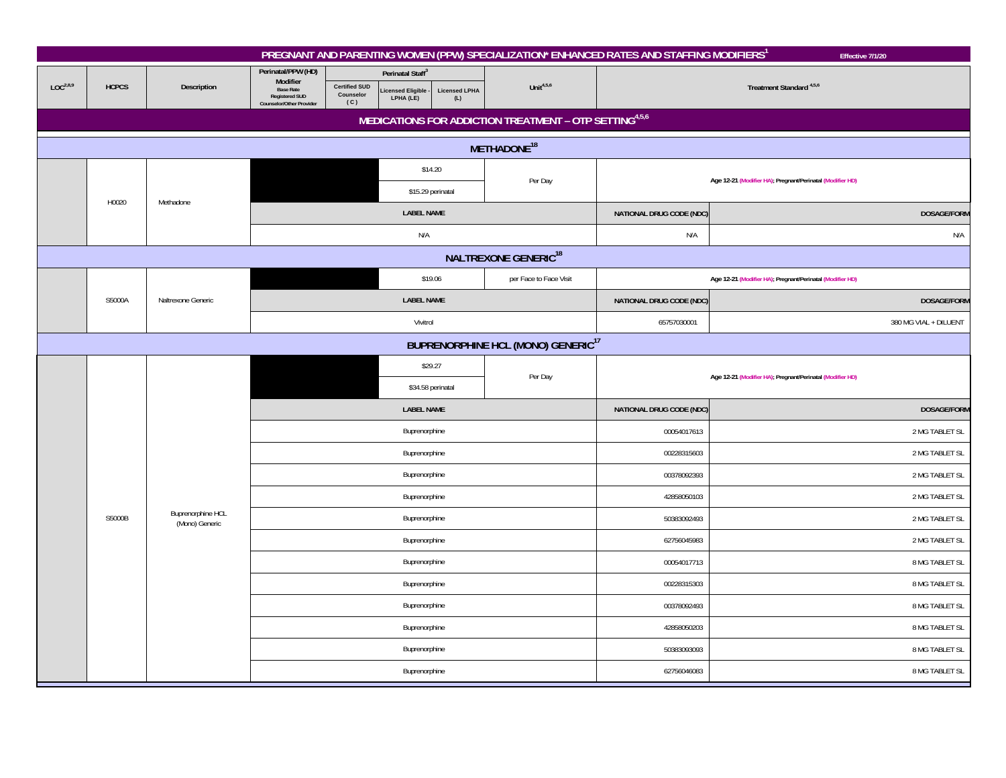|                      |                                           |                          |                                                                                                                                                     |                                                               |                             |                                                        | PREGNANT AND PARENTING WOMEN (PPW) SPECIALIZATION* ENHANCED RATES AND STAFFING MODIFIERS | Effective 7/1/20                                          |  |  |  |  |
|----------------------|-------------------------------------------|--------------------------|-----------------------------------------------------------------------------------------------------------------------------------------------------|---------------------------------------------------------------|-----------------------------|--------------------------------------------------------|------------------------------------------------------------------------------------------|-----------------------------------------------------------|--|--|--|--|
| LOC <sup>2,8,9</sup> | <b>HCPCS</b>                              | Description              | Perinatal/PPW (HD)<br>Modifier<br><b>Certified SUD</b><br><b>Base Rate</b><br>Counselor<br><b>Registered SUD</b><br>(C)<br>Counselor/Other Provider | Perinatal Staff <sup>3</sup><br>icensed Eligible<br>LPHA (LE) | <b>Licensed LPHA</b><br>(L) | Unit $4,5,6$                                           |                                                                                          | Treatment Standard <sup>4,5,6</sup>                       |  |  |  |  |
|                      |                                           |                          |                                                                                                                                                     |                                                               |                             | MEDICATIONS FOR ADDICTION TREATMENT - OTP SETTING4,5,6 |                                                                                          |                                                           |  |  |  |  |
|                      |                                           |                          |                                                                                                                                                     |                                                               |                             | METHADONE <sup>18</sup>                                |                                                                                          |                                                           |  |  |  |  |
|                      |                                           |                          |                                                                                                                                                     | \$14.20                                                       |                             |                                                        |                                                                                          |                                                           |  |  |  |  |
|                      | H0020                                     | Methadone                |                                                                                                                                                     | \$15.29 perinatal                                             |                             | Per Day                                                |                                                                                          | Age 12-21 (Modifier HA); Pregnant/Perinatal (Modifier HD) |  |  |  |  |
|                      |                                           |                          |                                                                                                                                                     | <b>LABEL NAME</b>                                             |                             |                                                        | NATIONAL DRUG CODE (NDC)                                                                 | DOSAGE/FORM                                               |  |  |  |  |
|                      |                                           |                          |                                                                                                                                                     | N/A                                                           |                             |                                                        | N/A<br>N/A                                                                               |                                                           |  |  |  |  |
|                      |                                           |                          |                                                                                                                                                     |                                                               |                             | <b>NALTREXONE GENERIC<sup>18</sup></b>                 |                                                                                          |                                                           |  |  |  |  |
|                      |                                           |                          |                                                                                                                                                     | \$19.06                                                       |                             | per Face to Face Visit                                 |                                                                                          | Age 12-21 (Modifier HA); Pregnant/Perinatal (Modifier HD) |  |  |  |  |
|                      | S5000A                                    | Naltrexone Generic       |                                                                                                                                                     | <b>LABEL NAME</b>                                             |                             |                                                        | NATIONAL DRUG CODE (NDC)                                                                 | DOSAGE/FORM                                               |  |  |  |  |
|                      |                                           |                          |                                                                                                                                                     | Vivitrol                                                      |                             |                                                        | 65757030001                                                                              | 380 MG VIAL + DILUENT                                     |  |  |  |  |
|                      | <b>BUPRENORPHINE HCL (MONO) GENERIC17</b> |                          |                                                                                                                                                     |                                                               |                             |                                                        |                                                                                          |                                                           |  |  |  |  |
|                      |                                           |                          |                                                                                                                                                     | \$29.27                                                       |                             | Per Day                                                |                                                                                          | Age 12-21 (Modifier HA); Pregnant/Perinatal (Modifier HD) |  |  |  |  |
|                      |                                           |                          |                                                                                                                                                     |                                                               | \$34.58 perinatal           |                                                        |                                                                                          |                                                           |  |  |  |  |
|                      |                                           |                          |                                                                                                                                                     | <b>LABEL NAME</b>                                             |                             |                                                        | NATIONAL DRUG CODE (NDC)                                                                 | <b>DOSAGE/FORM</b>                                        |  |  |  |  |
|                      |                                           |                          |                                                                                                                                                     | Buprenorphine                                                 |                             |                                                        | 00054017613                                                                              | 2 MG TABLET SL                                            |  |  |  |  |
|                      |                                           |                          |                                                                                                                                                     | Buprenorphine                                                 |                             |                                                        | 00228315603                                                                              | 2 MG TABLET SL                                            |  |  |  |  |
|                      |                                           |                          |                                                                                                                                                     | Buprenorphine                                                 |                             |                                                        | 00378092393                                                                              | 2 MG TABLET SL                                            |  |  |  |  |
|                      |                                           | <b>Buprenorphine HCL</b> |                                                                                                                                                     | Buprenorphine                                                 |                             |                                                        | 42858050103                                                                              | 2 MG TABLET SL                                            |  |  |  |  |
|                      | S5000B                                    | (Mono) Generic           |                                                                                                                                                     | Buprenorphine                                                 |                             |                                                        | 50383092493                                                                              | 2 MG TABLET SL                                            |  |  |  |  |
|                      |                                           |                          |                                                                                                                                                     | Buprenorphine                                                 |                             |                                                        | 62756045983                                                                              | 2 MG TABLET SL                                            |  |  |  |  |
|                      |                                           |                          |                                                                                                                                                     | Buprenorphine                                                 |                             |                                                        | 00054017713                                                                              | 8 MG TABLET SL                                            |  |  |  |  |
|                      |                                           |                          |                                                                                                                                                     | Buprenorphine                                                 |                             |                                                        | 00228315303                                                                              | 8 MG TABLET SL                                            |  |  |  |  |
|                      |                                           |                          |                                                                                                                                                     | Buprenorphine                                                 |                             |                                                        | 00378092493                                                                              | 8 MG TABLET SL                                            |  |  |  |  |
|                      |                                           |                          |                                                                                                                                                     | Buprenorphine                                                 |                             |                                                        | 42858050203                                                                              | 8 MG TABLET SL                                            |  |  |  |  |
|                      |                                           |                          |                                                                                                                                                     | Buprenorphine                                                 |                             |                                                        | 50383093093                                                                              | 8 MG TABLET SL                                            |  |  |  |  |
|                      |                                           |                          |                                                                                                                                                     | Buprenorphine                                                 |                             |                                                        | 62756046083                                                                              | 8 MG TABLET SL                                            |  |  |  |  |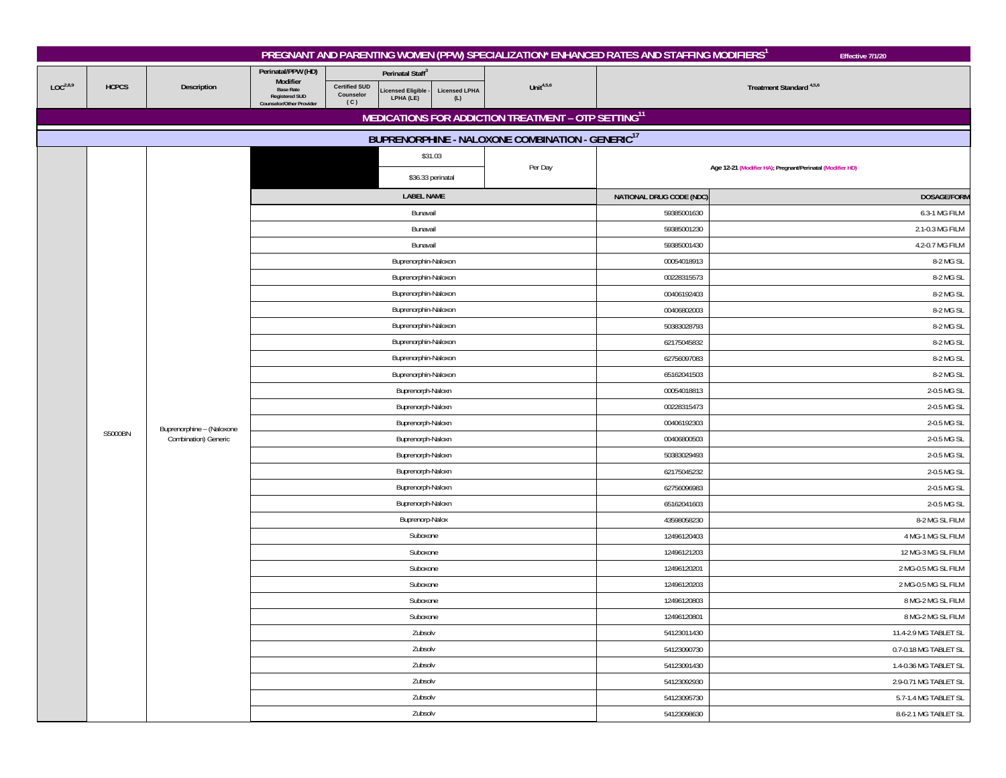|                      |              |                                                   |                                                                       |                                          |                                |                             |                                                                 | PREGNANT AND PARENTING WOMEN (PPW) SPECIALIZATION* ENHANCED RATES AND STAFFING MODIFIERS <sup>1</sup> | Effective 7/1/20                                          |  |
|----------------------|--------------|---------------------------------------------------|-----------------------------------------------------------------------|------------------------------------------|--------------------------------|-----------------------------|-----------------------------------------------------------------|-------------------------------------------------------------------------------------------------------|-----------------------------------------------------------|--|
|                      |              |                                                   | Perinatal/PPW (HD)<br>Modifier                                        |                                          | Perinatal Staff <sup>3</sup>   |                             |                                                                 |                                                                                                       |                                                           |  |
| LOC <sup>2,8,9</sup> | <b>HCPCS</b> | Description                                       | <b>Base Rate</b><br><b>Registered SUD</b><br>Counselor/Other Provider | <b>Certified SUD</b><br>Counselor<br>(C) | icensed Eligible.<br>LPHA (LE) | <b>Licensed LPHA</b><br>(L) | Unit $4,5,6$                                                    | Treatment Standard <sup>4,5,6</sup>                                                                   |                                                           |  |
|                      |              |                                                   |                                                                       |                                          |                                |                             | MEDICATIONS FOR ADDICTION TREATMENT - OTP SETTING <sup>11</sup> |                                                                                                       |                                                           |  |
|                      |              |                                                   |                                                                       |                                          |                                |                             | BUPRENORPHINE - NALOXONE COMBINATION - GENERIC <sup>17</sup>    |                                                                                                       |                                                           |  |
|                      |              |                                                   |                                                                       |                                          |                                | \$31.03                     |                                                                 |                                                                                                       |                                                           |  |
|                      |              |                                                   |                                                                       |                                          |                                | \$36.33 perinatal           | Per Day                                                         |                                                                                                       | Age 12-21 (Modifier HA); Pregnant/Perinatal (Modifier HD) |  |
|                      |              |                                                   |                                                                       |                                          | <b>LABEL NAME</b>              |                             |                                                                 | NATIONAL DRUG CODE (NDC)                                                                              | <b>DOSAGE/FORM</b>                                        |  |
|                      |              |                                                   |                                                                       |                                          | Bunavail                       |                             |                                                                 | 59385001630                                                                                           | 6.3-1 MG FILM                                             |  |
|                      |              |                                                   |                                                                       |                                          | Bunavail                       |                             |                                                                 | 59385001230                                                                                           | 2.1-0.3 MG FILM                                           |  |
|                      |              |                                                   |                                                                       |                                          | Bunavail                       |                             |                                                                 | 59385001430                                                                                           | 4.2-0.7 MG FILM                                           |  |
|                      |              |                                                   |                                                                       |                                          | Buprenorphin-Naloxon           |                             |                                                                 | 00054018913                                                                                           | 8-2 MG SL                                                 |  |
|                      |              |                                                   |                                                                       |                                          | Buprenorphin-Naloxon           |                             |                                                                 | 00228315573                                                                                           | 8-2 MG SL                                                 |  |
|                      |              |                                                   |                                                                       |                                          | Buprenorphin-Naloxon           |                             |                                                                 | 00406192403                                                                                           | 8-2 MG SL                                                 |  |
|                      |              |                                                   |                                                                       |                                          | Buprenorphin-Naloxon           |                             |                                                                 | 00406802003                                                                                           | 8-2 MG SL                                                 |  |
|                      |              |                                                   |                                                                       |                                          | Buprenorphin-Naloxon           |                             |                                                                 | 8-2 MG SL<br>50383028793                                                                              |                                                           |  |
|                      |              | Buprenorphine - (Naloxone<br>Combination) Generic |                                                                       |                                          | Buprenorphin-Naloxon           |                             |                                                                 | 62175045832                                                                                           | 8-2 MG SL                                                 |  |
|                      |              |                                                   |                                                                       |                                          | Buprenorphin-Naloxon           |                             |                                                                 | 62756097083                                                                                           | 8-2 MG SL                                                 |  |
|                      |              |                                                   |                                                                       |                                          | Buprenorphin-Naloxon           |                             |                                                                 | 65162041503                                                                                           | 8-2 MG SL                                                 |  |
|                      |              |                                                   |                                                                       |                                          | Buprenorph-Naloxn              |                             |                                                                 | 00054018813                                                                                           | 2-0.5 MG SL                                               |  |
|                      |              |                                                   |                                                                       |                                          | Buprenorph-Naloxn              |                             |                                                                 | 00228315473                                                                                           | 2-0.5 MG SL                                               |  |
|                      |              |                                                   |                                                                       |                                          | Buprenorph-Naloxn              |                             |                                                                 | 00406192303                                                                                           | 2-0.5 MG SL                                               |  |
|                      | S5000BN      |                                                   |                                                                       |                                          | Buprenorph-Naloxn              |                             |                                                                 | 00406800503                                                                                           | 2-0.5 MG SL                                               |  |
|                      |              |                                                   |                                                                       |                                          | Buprenorph-Naloxn              |                             |                                                                 | 50383029493                                                                                           | 2-0.5 MG SL                                               |  |
|                      |              |                                                   |                                                                       |                                          | Buprenorph-Naloxn              |                             |                                                                 | 62175045232                                                                                           | 2-0.5 MG SL                                               |  |
|                      |              |                                                   |                                                                       |                                          | Buprenorph-Naloxn              |                             |                                                                 | 62756096983                                                                                           | 2-0.5 MG SL                                               |  |
|                      |              |                                                   |                                                                       |                                          | Buprenorph-Naloxn              |                             |                                                                 | 65162041603<br>2-0.5 MG SL                                                                            |                                                           |  |
|                      |              |                                                   |                                                                       |                                          | Buprenorp-Nalox                |                             |                                                                 | 43598058230<br>8-2 MG SL FILM                                                                         |                                                           |  |
|                      |              |                                                   |                                                                       |                                          | Suboxone                       |                             |                                                                 | 12496120403                                                                                           | 4 MG-1 MG SL FILM                                         |  |
|                      |              |                                                   |                                                                       |                                          | Suboxone                       |                             |                                                                 | 12496121203                                                                                           | 12 MG-3 MG SL FILM                                        |  |
|                      |              |                                                   |                                                                       |                                          | Suboxone                       |                             |                                                                 | 12496120201                                                                                           | 2 MG-0.5 MG SL FILM                                       |  |
|                      |              |                                                   |                                                                       |                                          | Suboxone                       |                             |                                                                 | 12496120203                                                                                           | 2 MG-0.5 MG SL FILM                                       |  |
|                      |              |                                                   |                                                                       |                                          | Suboxone                       |                             |                                                                 | 12496120803                                                                                           | 8 MG-2 MG SL FILM                                         |  |
|                      |              |                                                   |                                                                       |                                          | Suboxone                       |                             |                                                                 | 12496120801                                                                                           | 8 MG-2 MG SL FILM                                         |  |
|                      |              |                                                   |                                                                       |                                          | Zubsolv                        |                             |                                                                 | 54123011430                                                                                           | 11.4-2.9 MG TABLET SL                                     |  |
|                      |              |                                                   |                                                                       |                                          | Zubsolv                        |                             |                                                                 | 54123090730                                                                                           | 0.7-0.18 MG TABLET SL                                     |  |
|                      |              |                                                   |                                                                       |                                          | Zubsolv                        |                             |                                                                 | 54123091430<br>1.4-0.36 MG TABLET SL                                                                  |                                                           |  |
|                      |              |                                                   |                                                                       |                                          | Zubsolv                        |                             |                                                                 | 54123092930                                                                                           | 2.9-0.71 MG TABLET SL                                     |  |
|                      |              |                                                   |                                                                       |                                          | Zubsolv                        |                             |                                                                 | 54123095730                                                                                           | 5.7-1.4 MG TABLET SL                                      |  |
|                      |              |                                                   |                                                                       |                                          | Zubsolv                        |                             |                                                                 | 54123098630                                                                                           | 8.6-2.1 MG TABLET SL                                      |  |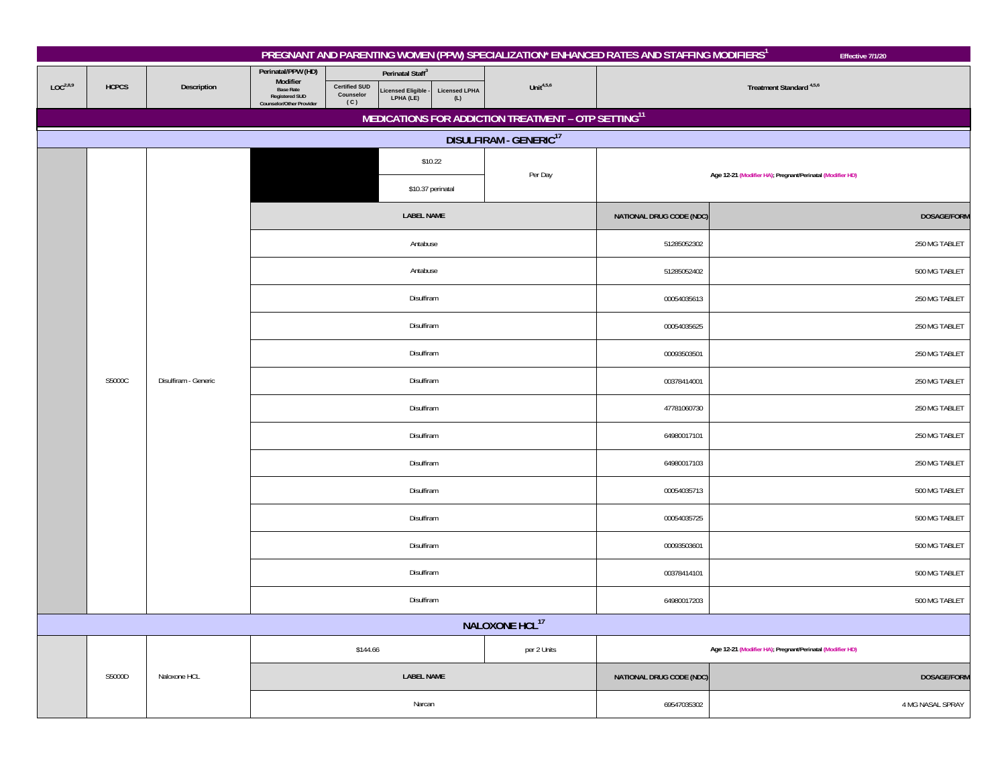|                      |              |                      |                                                                                                         |                                                                                                            |                             |                                                                 | PREGNANT AND PARENTING WOMEN (PPW) SPECIALIZATION* ENHANCED RATES AND STAFFING MODIFIERS <sup>1</sup> | Effective 7/1/20                                          |  |
|----------------------|--------------|----------------------|---------------------------------------------------------------------------------------------------------|------------------------------------------------------------------------------------------------------------|-----------------------------|-----------------------------------------------------------------|-------------------------------------------------------------------------------------------------------|-----------------------------------------------------------|--|
| LOC <sup>2,8,9</sup> | <b>HCPCS</b> | Description          | Perinatal/PPW (HD)<br>Modifier<br><b>Base Rate</b><br><b>Registered SUD</b><br>Counselor/Other Provider | Perinatal Staff <sup>3</sup><br><b>Certified SUD</b><br>Licensed Eligible<br>LPHA (LE)<br>Counselor<br>(C) | <b>Licensed LPHA</b><br>(L) | Unit $4,5,6$                                                    |                                                                                                       | Treatment Standard <sup>4,5,6</sup>                       |  |
|                      |              |                      |                                                                                                         |                                                                                                            |                             | MEDICATIONS FOR ADDICTION TREATMENT - OTP SETTING <sup>11</sup> |                                                                                                       |                                                           |  |
|                      |              |                      |                                                                                                         |                                                                                                            |                             | DISULFIRAM - GENERIC <sup>17</sup>                              |                                                                                                       |                                                           |  |
|                      |              |                      |                                                                                                         |                                                                                                            | \$10.22                     | Per Day                                                         |                                                                                                       | Age 12-21 (Modifier HA); Pregnant/Perinatal (Modifier HD) |  |
|                      |              |                      |                                                                                                         |                                                                                                            | \$10.37 perinatal           |                                                                 |                                                                                                       |                                                           |  |
|                      |              |                      |                                                                                                         | <b>LABEL NAME</b>                                                                                          |                             |                                                                 | NATIONAL DRUG CODE (NDC)                                                                              | <b>DOSAGE/FORM</b>                                        |  |
|                      |              |                      |                                                                                                         | Antabuse                                                                                                   |                             |                                                                 | 51285052302                                                                                           | 250 MG TABLET                                             |  |
|                      |              |                      |                                                                                                         | Antabuse                                                                                                   |                             |                                                                 | 51285052402                                                                                           | 500 MG TABLET                                             |  |
|                      |              | Disulfiram - Generic |                                                                                                         | Disulfiram                                                                                                 |                             |                                                                 | 00054035613                                                                                           | 250 MG TABLET                                             |  |
|                      |              |                      |                                                                                                         | Disulfiram                                                                                                 |                             |                                                                 | 00054035625                                                                                           | 250 MG TABLET                                             |  |
|                      | S5000C       |                      |                                                                                                         | Disulfiram                                                                                                 |                             |                                                                 | 00093503501                                                                                           | 250 MG TABLET                                             |  |
|                      |              |                      |                                                                                                         | Disulfiram                                                                                                 |                             |                                                                 | 00378414001                                                                                           | 250 MG TABLET                                             |  |
|                      |              |                      |                                                                                                         | Disulfiram                                                                                                 |                             |                                                                 | 47781060730                                                                                           | 250 MG TABLET                                             |  |
|                      |              |                      |                                                                                                         | Disulfiram                                                                                                 |                             |                                                                 | 64980017101                                                                                           | 250 MG TABLET                                             |  |
|                      |              |                      |                                                                                                         | Disulfiram                                                                                                 |                             |                                                                 | 64980017103                                                                                           | 250 MG TABLET                                             |  |
|                      |              |                      |                                                                                                         | Disulfiram                                                                                                 |                             |                                                                 | 00054035713                                                                                           | 500 MG TABLET                                             |  |
|                      |              |                      |                                                                                                         | Disulfiram                                                                                                 |                             |                                                                 | 00054035725                                                                                           | 500 MG TABLET                                             |  |
|                      |              |                      |                                                                                                         | Disulfiram                                                                                                 |                             |                                                                 | 00093503601                                                                                           | 500 MG TABLET                                             |  |
|                      |              |                      |                                                                                                         | Disulfiram                                                                                                 |                             |                                                                 | 00378414101                                                                                           | 500 MG TABLET                                             |  |
|                      |              |                      |                                                                                                         | Disulfiram                                                                                                 |                             | 64980017203                                                     | 500 MG TABLET                                                                                         |                                                           |  |
|                      |              |                      |                                                                                                         |                                                                                                            |                             | NALOXONE HCL <sup>17</sup>                                      |                                                                                                       |                                                           |  |
|                      |              |                      |                                                                                                         | \$144.66                                                                                                   |                             | per 2 Units                                                     | Age 12-21 (Modifier HA); Pregnant/Perinatal (Modifier HD)                                             |                                                           |  |
|                      | S5000D       | Naloxone HCL         |                                                                                                         | <b>LABEL NAME</b>                                                                                          |                             |                                                                 | NATIONAL DRUG CODE (NDC)                                                                              | <b>DOSAGE/FORM</b>                                        |  |
|                      |              |                      |                                                                                                         | Narcan                                                                                                     |                             |                                                                 | 69547035302                                                                                           | 4 MG NASAL SPRAY                                          |  |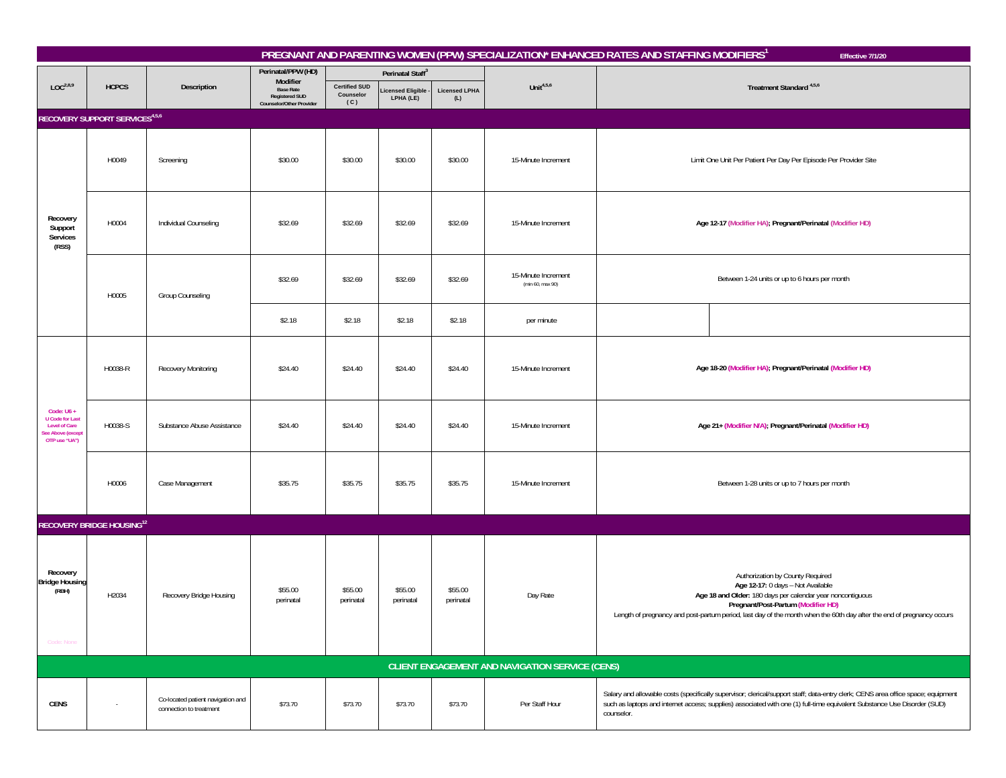|                                                                                                      |                                            |                                                              |                                                                              |                                          |                               |                             |                                                 | PREGNANT AND PARENTING WOMEN (PPW) SPECIALIZATION* ENHANCED RATES AND STAFFING MODIFIERS <sup>1</sup> | Effective 7/1/20                                                                                                                                                                                                                                                                                   |
|------------------------------------------------------------------------------------------------------|--------------------------------------------|--------------------------------------------------------------|------------------------------------------------------------------------------|------------------------------------------|-------------------------------|-----------------------------|-------------------------------------------------|-------------------------------------------------------------------------------------------------------|----------------------------------------------------------------------------------------------------------------------------------------------------------------------------------------------------------------------------------------------------------------------------------------------------|
|                                                                                                      |                                            |                                                              | Perinatal/PPW (HD)<br>Modifier                                               |                                          | Perinatal Staff <sup>3</sup>  |                             |                                                 |                                                                                                       |                                                                                                                                                                                                                                                                                                    |
| LOC <sup>2,8,9</sup>                                                                                 | <b>HCPCS</b>                               | Description                                                  | <b>Base Rate</b><br><b>Registered SUD</b><br><b>Counselor/Other Provider</b> | <b>Certified SUD</b><br>Counselor<br>(C) | icensed Eligible<br>LPHA (LE) | <b>Licensed LPHA</b><br>(L) | Unit $4,5,6$                                    |                                                                                                       | Treatment Standard <sup>4,5,6</sup>                                                                                                                                                                                                                                                                |
|                                                                                                      | RECOVERY SUPPORT SERVICES <sup>4,5,6</sup> |                                                              |                                                                              |                                          |                               |                             |                                                 |                                                                                                       |                                                                                                                                                                                                                                                                                                    |
|                                                                                                      | H0049                                      | Screening                                                    | \$30.00                                                                      | \$30.00                                  | \$30.00                       | \$30.00                     | 15-Minute Increment                             |                                                                                                       | Limit One Unit Per Patient Per Day Per Episode Per Provider Site                                                                                                                                                                                                                                   |
| Recovery<br>Support<br>Services<br>(RSS)                                                             | H0004                                      | Individual Counseling                                        | \$32.69                                                                      | \$32.69                                  | \$32.69                       | \$32.69                     | 15-Minute Increment                             | Age 12-17 (Modifier HA); Pregnant/Perinatal (Modifier HD)                                             |                                                                                                                                                                                                                                                                                                    |
|                                                                                                      | H0005                                      | Group Counseling                                             | \$32.69                                                                      | \$32.69                                  | \$32.69                       | \$32.69                     | 15-Minute Increment<br>(min 60, max 90)         |                                                                                                       | Between 1-24 units or up to 6 hours per month                                                                                                                                                                                                                                                      |
|                                                                                                      |                                            |                                                              | \$2.18                                                                       | \$2.18                                   | \$2.18                        | \$2.18                      | per minute                                      |                                                                                                       |                                                                                                                                                                                                                                                                                                    |
|                                                                                                      | H0038-R                                    | Recovery Monitoring                                          | \$24.40                                                                      | \$24.40                                  | \$24.40                       | \$24.40                     | 15-Minute Increment                             |                                                                                                       | Age 18-20 (Modifier HA), Pregnant/Perinatal (Modifier HD)                                                                                                                                                                                                                                          |
| Code: $U6 +$<br><b>U</b> Code for Last<br><b>Level of Care</b><br>See Above (except<br>OTP use "UA") | H0038-S                                    | Substance Abuse Assistance                                   | \$24.40                                                                      | \$24.40                                  | \$24.40                       | \$24.40                     | 15-Minute Increment                             |                                                                                                       | Age 21+ (Modifier N/A), Pregnant/Perinatal (Modifier HD)                                                                                                                                                                                                                                           |
|                                                                                                      | H0006                                      | Case Management                                              | \$35.75                                                                      | \$35.75                                  | \$35.75                       | \$35.75                     | 15-Minute Increment                             | Between 1-28 units or up to 7 hours per month                                                         |                                                                                                                                                                                                                                                                                                    |
|                                                                                                      | <b>RECOVERY BRIDGE HOUSING12</b>           |                                                              |                                                                              |                                          |                               |                             |                                                 |                                                                                                       |                                                                                                                                                                                                                                                                                                    |
| Recovery<br><b>Bridge Housing</b><br>(RBH)<br>Code: None                                             | H2034                                      | Recovery Bridge Housing                                      | \$55.00<br>perinatal                                                         | \$55.00<br>perinatal                     | \$55.00<br>perinatal          | \$55.00<br>perinatal        | Day Rate                                        |                                                                                                       | Authorization by County Required<br>Age 12-17: 0 days - Not Available<br>Age 18 and Older: 180 days per calendar year noncontiguous<br>Pregnant/Post-Partum (Modifier HD)<br>Length of pregnancy and post-partum period, last day of the month when the 60th day after the end of pregnancy occurs |
|                                                                                                      |                                            |                                                              |                                                                              |                                          |                               |                             | CLIENT ENGAGEMENT AND NAVIGATION SERVICE (CENS) |                                                                                                       |                                                                                                                                                                                                                                                                                                    |
| <b>CENS</b>                                                                                          | $\sim$                                     | Co-located patient navigation and<br>connection to treatment | \$73.70                                                                      | \$73.70                                  | \$73.70                       | \$73.70                     | Per Staff Hour                                  | counselor.                                                                                            | Salary and allowable costs (specifically supervisor; clerical/support staff; data-entry clerk; CENS area office space; equipment<br>such as laptops and internet access; supplies) associated with one (1) full-time equivalent Substance Use Disorder (SUD)                                       |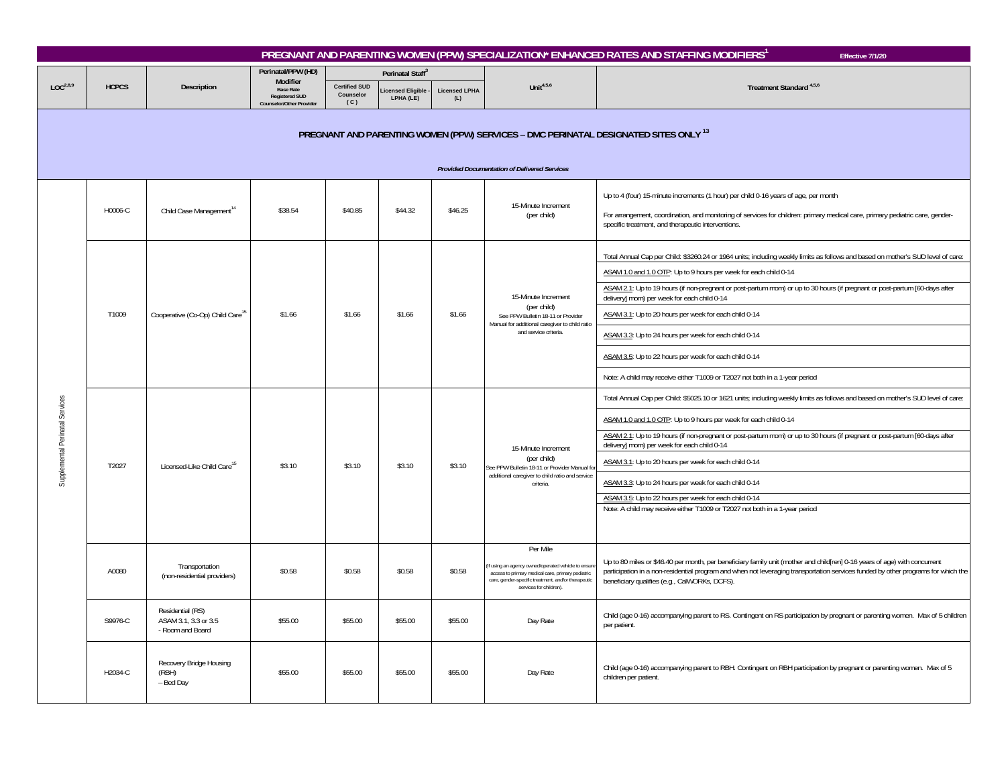|                                 |              |                                                              |                                                                      |                                          |                               |                             |                                                                                                                                                                                                       | PREGNANT AND PARENTING WOMEN (PPW) SPECIALIZATION* ENHANCED RATES AND STAFFING MODIFIERS <sup>1</sup><br>Effective 7/1/20                                                                                                                                                                                                                                                                                                                                                                                                                                                                                                                                                                                                  |
|---------------------------------|--------------|--------------------------------------------------------------|----------------------------------------------------------------------|------------------------------------------|-------------------------------|-----------------------------|-------------------------------------------------------------------------------------------------------------------------------------------------------------------------------------------------------|----------------------------------------------------------------------------------------------------------------------------------------------------------------------------------------------------------------------------------------------------------------------------------------------------------------------------------------------------------------------------------------------------------------------------------------------------------------------------------------------------------------------------------------------------------------------------------------------------------------------------------------------------------------------------------------------------------------------------|
|                                 |              |                                                              | Perinatal/PPW (HD)<br>Modifier                                       |                                          | Perinatal Staff <sup>3</sup>  |                             |                                                                                                                                                                                                       |                                                                                                                                                                                                                                                                                                                                                                                                                                                                                                                                                                                                                                                                                                                            |
| LOC <sup>2,8,9</sup>            | <b>HCPCS</b> | Description                                                  | <b>Base Rate</b><br><b>Registered SUD</b><br>Counselor/Other Provide | <b>Certified SUD</b><br>Counselor<br>(C) | icensed Eligible<br>LPHA (LE) | <b>Licensed LPHA</b><br>(L) | Unit $4,5,6$                                                                                                                                                                                          | Treatment Standard <sup>4,5,6</sup>                                                                                                                                                                                                                                                                                                                                                                                                                                                                                                                                                                                                                                                                                        |
|                                 |              |                                                              |                                                                      |                                          |                               |                             | <b>Provided Documentation of Delivered Services</b>                                                                                                                                                   | PREGNANT AND PARENTING WOMEN (PPW) SERVICES - DMC PERINATAL DESIGNATED SITES ONLY <sup>13</sup>                                                                                                                                                                                                                                                                                                                                                                                                                                                                                                                                                                                                                            |
|                                 | H0006-C      | Child Case Management <sup>14</sup>                          | \$38.54                                                              | \$40.85                                  | \$44.32                       | \$46.25                     | 15-Minute Increment<br>(per child)                                                                                                                                                                    | Up to 4 (four) 15-minute increments (1 hour) per child 0-16 years of age, per month<br>For arrangement, coordination, and monitoring of services for children: primary medical care, primary pediatric care, gender-<br>specific treatment, and therapeutic interventions.                                                                                                                                                                                                                                                                                                                                                                                                                                                 |
|                                 | T1009        | Cooperative (Co-Op) Child Care <sup>15</sup>                 | \$1.66                                                               | \$1.66                                   | \$1.66                        | \$1.66                      | 15-Minute Increment<br>(per child)<br>See PPW Bulletin 18-11 or Provider<br>Manual for additional caregiver to child ratio<br>and service criteria                                                    | Total Annual Cap per Child: \$3260.24 or 1964 units; including weekly limits as follows and based on mother's SUD level of care:<br>ASAM 1.0 and 1.0 OTP: Up to 9 hours per week for each child 0-14<br>ASAM 2.1: Up to 19 hours (if non-pregnant or post-partum mom) or up to 30 hours (if pregnant or post-partum [60-days after<br>delivery] mom) per week for each child 0-14<br>ASAM 3.1: Up to 20 hours per week for each child 0-14<br>ASAM 3.3: Up to 24 hours per week for each child 0-14<br>ASAM 3.5: Up to 22 hours per week for each child 0-14                                                                                                                                                               |
| Supplemental Perinatal Services | T2027        | Licensed-Like Child Care <sup>15</sup>                       | \$3.10                                                               | \$3.10                                   | \$3.10                        | \$3.10                      | 15-Minute Increment<br>(per child)<br>See PPW Bulletin 18-11 or Provider Manual fo<br>additional caregiver to child ratio and service<br>criteria.                                                    | Note: A child may receive either T1009 or T2027 not both in a 1-year period<br>Total Annual Cap per Child: \$5025.10 or 1621 units; including weekly limits as follows and based on mother's SUD level of care:<br>ASAM 1.0 and 1.0 OTP: Up to 9 hours per week for each child 0-14<br>ASAM 2.1: Up to 19 hours (if non-pregnant or post-partum mom) or up to 30 hours (if pregnant or post-partum [60-days after<br>delivery] mom) per week for each child 0-14<br>ASAM 3.1: Up to 20 hours per week for each child 0-14<br>ASAM 3.3: Up to 24 hours per week for each child 0-14<br>ASAM 3.5: Up to 22 hours per week for each child 0-14<br>Note: A child may receive either T1009 or T2027 not both in a 1-year period |
|                                 | A0080        | Transportation<br>(non-residential providers)                | \$0.58                                                               | \$0.58                                   | \$0.58                        | \$0.58                      | Per Mile<br>If using an agency owned/operated vehicle to ensur<br>access to primary medical care, primary pediatric<br>care, gender-specific treatment, and/or therapeutic<br>services for children). | Up to 80 miles or \$46.40 per month, per beneficiary family unit (mother and child[ren] 0-16 years of age) with concurrent<br>participation in a non-residential program and when not leveraging transportation services funded by other programs for which the<br>beneficiary qualifies (e.g., CalWORKs, DCFS).                                                                                                                                                                                                                                                                                                                                                                                                           |
|                                 | S9976-C      | Residential (RS)<br>ASAM 3.1, 3.3 or 3.5<br>- Room and Board | \$55.00                                                              | \$55.00                                  | \$55.00                       | \$55.00                     | Day Rate                                                                                                                                                                                              | Child (age 0-16) accompanying parent to RS. Contingent on RS participation by pregnant or parenting women. Max of 5 children<br>per patient.                                                                                                                                                                                                                                                                                                                                                                                                                                                                                                                                                                               |
|                                 | H2034-C      | Recovery Bridge Housing<br>(RBH)<br>- Bed Day                | \$55.00                                                              | \$55.00                                  | \$55.00                       | \$55.00                     | Day Rate                                                                                                                                                                                              | Child (age 0-16) accompanying parent to RBH. Contingent on RBH participation by pregnant or parenting women. Max of 5<br>children per patient.                                                                                                                                                                                                                                                                                                                                                                                                                                                                                                                                                                             |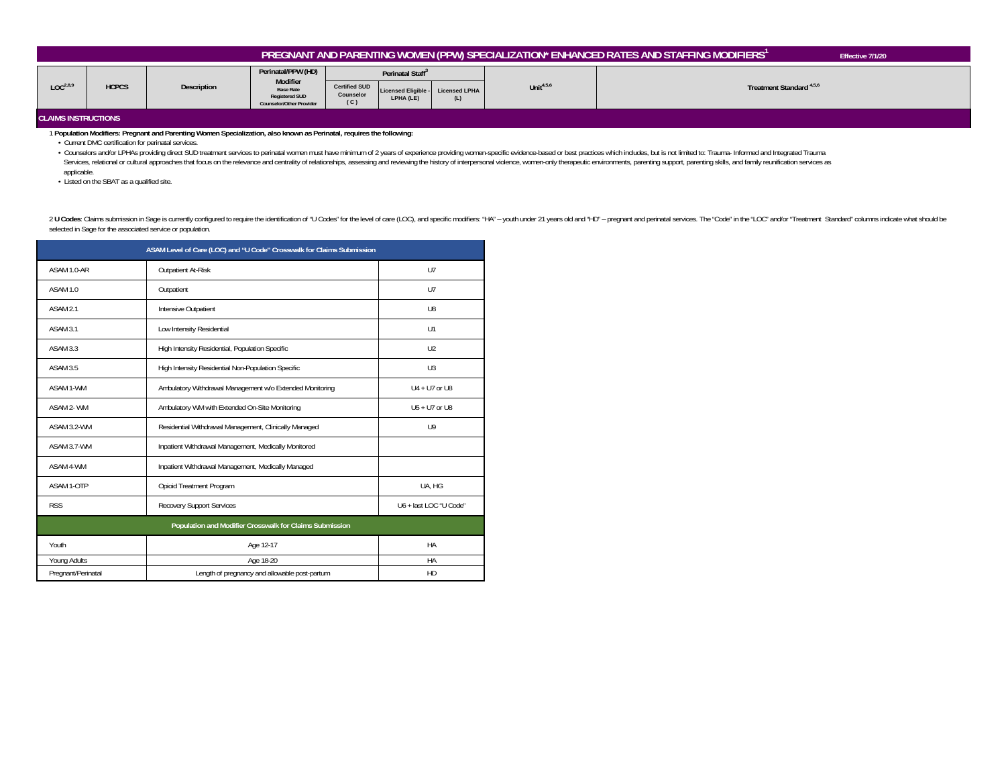| PREGNANT AND PARENTING WOMEN (PPW) SPECIALIZATION* ENHANCED RATES AND STAFFING MODIFIERS'<br>Effective 7/1/20 |              |             |                                                                                                                                                                                                                                                                                                                                      |  |  |  |  |  |  |  |
|---------------------------------------------------------------------------------------------------------------|--------------|-------------|--------------------------------------------------------------------------------------------------------------------------------------------------------------------------------------------------------------------------------------------------------------------------------------------------------------------------------------|--|--|--|--|--|--|--|
| LOC <sup>2,8,9</sup>                                                                                          | <b>HCPCS</b> | Description | Perinatal/PPW (HD)<br>Perinatal Staff <sup>3</sup><br>Modifier<br>Unit <sup>4,5,6</sup><br>Treatment Standard <sup>4,5,6</sup><br><b>Certified SUD</b><br><b>Base Rate</b><br>Licensed LPHA<br><b>Licensed Eligible -</b><br><b>Counselor</b><br><b>Registered SUD</b><br>LPHA (LE)<br>(L)<br>(C)<br><b>Counselor/Other Provider</b> |  |  |  |  |  |  |  |
| <b>CLAIMS INSTRUCTIONS</b>                                                                                    |              |             |                                                                                                                                                                                                                                                                                                                                      |  |  |  |  |  |  |  |

## 1 **Population Modifiers: Pregnant and Parenting Women Specialization, also known as Perinatal, requires the following:**

• Current DMC certification for perinatal services.

- Counselors and/or LPHAs providing direct SUD treatment services to perinatal women must have minimum of 2 years of experience providing women-specific evidence-based or best practices which includes, but is not limited t Services, relational or cultural approaches that focus on the relevance and centrality of relationships, assessing and reviewing the history of interpersonal violence, women-only therapeutic environments, parenting support applicable.

• Listed on the SBAT as a qualified site.

2 U Codes: Claims submission in Sage is currently configured to require the identification of "U Codes" for the level of care (LOC), and specific modifiers: "HA" - youth under 21 years old and "HD" - pregnant and perinatal selected in Sage for the associated service or population.

| ASAM Level of Care (LOC) and "U Code" Crosswalk for Claims Submission |                                                          |                        |  |  |  |  |
|-----------------------------------------------------------------------|----------------------------------------------------------|------------------------|--|--|--|--|
| ASAM 1.0-AR                                                           | Outpatient At-Risk                                       |                        |  |  |  |  |
| ASAM 1.0                                                              | Outpatient                                               | U7                     |  |  |  |  |
| ASAM <sub>2.1</sub>                                                   | Intensive Outpatient                                     | U8                     |  |  |  |  |
| ASAM 3.1                                                              | Low Intensity Residential                                | U1                     |  |  |  |  |
| ASAM 3.3                                                              | High Intensity Residential, Population Specific          | U2                     |  |  |  |  |
| ASAM 3.5                                                              | High Intensity Residential Non-Population Specific       | U3                     |  |  |  |  |
| ASAM 1-WM                                                             | Ambulatory Withdrawal Management w/o Extended Monitoring | $U4 + U7$ or U8        |  |  |  |  |
| ASAM 2- WM                                                            | Ambulatory WM with Extended On-Site Monitoring           | $U5 + U7$ or U8        |  |  |  |  |
| ASAM 3.2-WM                                                           | Residential Withdrawal Management, Clinically Managed    | U9                     |  |  |  |  |
| ASAM 3.7-WM                                                           | Inpatient Withdrawal Management, Medically Monitored     |                        |  |  |  |  |
| ASAM 4-WM                                                             | Inpatient Withdrawal Management, Medically Managed       |                        |  |  |  |  |
| ASAM 1-OTP                                                            | Opioid Treatment Program                                 | UA, HG                 |  |  |  |  |
| <b>RSS</b>                                                            | Recovery Support Services                                | U6 + last LOC "U Code" |  |  |  |  |
|                                                                       | Population and Modifier Crosswalk for Claims Submission  |                        |  |  |  |  |
| Youth                                                                 | Age 12-17                                                | HA                     |  |  |  |  |
| Young Adults                                                          | Age 18-20                                                | HA                     |  |  |  |  |
| Pregnant/Perinatal                                                    | Length of pregnancy and allowable post-partum            | HD                     |  |  |  |  |